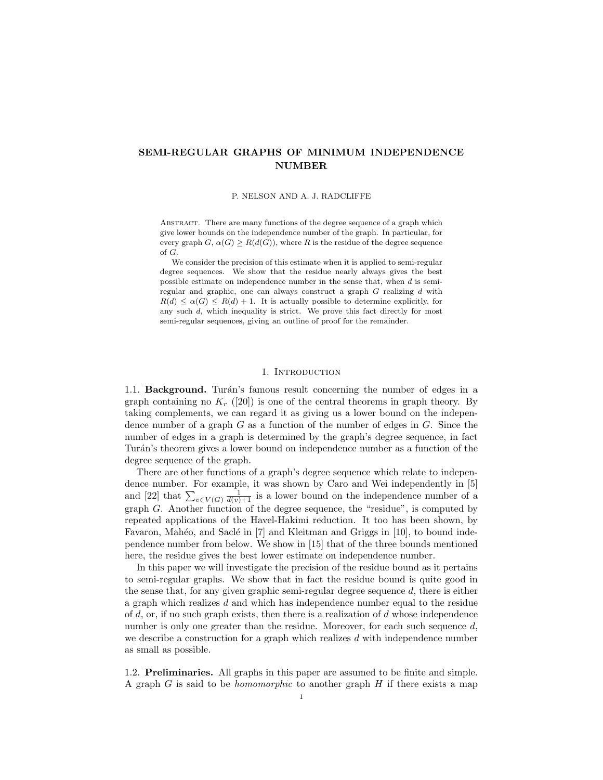# SEMI-REGULAR GRAPHS OF MINIMUM INDEPENDENCE NUMBER

P. NELSON AND A. J. RADCLIFFE

ABSTRACT. There are many functions of the degree sequence of a graph which give lower bounds on the independence number of the graph. In particular, for every graph  $G, \alpha(G) \geq R(d(G))$ , where R is the residue of the degree sequence of G.

We consider the precision of this estimate when it is applied to semi-regular degree sequences. We show that the residue nearly always gives the best possible estimate on independence number in the sense that, when  $d$  is semiregular and graphic, one can always construct a graph  $G$  realizing  $d$  with  $R(d) \leq \alpha(G) \leq R(d) + 1$ . It is actually possible to determine explicitly, for any such  $d$ , which inequality is strict. We prove this fact directly for most semi-regular sequences, giving an outline of proof for the remainder.

# 1. INTRODUCTION

1.1. **Background.** Turán's famous result concerning the number of edges in a graph containing no  $K_r$  ([20]) is one of the central theorems in graph theory. By taking complements, we can regard it as giving us a lower bound on the independence number of a graph  $G$  as a function of the number of edges in  $G$ . Since the number of edges in a graph is determined by the graph's degree sequence, in fact Turán's theorem gives a lower bound on independence number as a function of the degree sequence of the graph.

There are other functions of a graph's degree sequence which relate to independence number. For example, it was shown by Caro and Wei independently in [5] and [22] that  $\sum_{v \in V(G)} \frac{1}{d(v)+1}$  is a lower bound on the independence number of a graph G. Another function of the degree sequence, the "residue", is computed by repeated applications of the Havel-Hakimi reduction. It too has been shown, by Favaron, Mahéo, and Saclé in  $[7]$  and Kleitman and Griggs in  $[10]$ , to bound independence number from below. We show in [15] that of the three bounds mentioned here, the residue gives the best lower estimate on independence number.

In this paper we will investigate the precision of the residue bound as it pertains to semi-regular graphs. We show that in fact the residue bound is quite good in the sense that, for any given graphic semi-regular degree sequence d, there is either a graph which realizes d and which has independence number equal to the residue of  $d$ , or, if no such graph exists, then there is a realization of  $d$  whose independence number is only one greater than the residue. Moreover, for each such sequence  $d$ , we describe a construction for a graph which realizes  $d$  with independence number as small as possible.

1.2. Preliminaries. All graphs in this paper are assumed to be finite and simple. A graph  $G$  is said to be *homomorphic* to another graph  $H$  if there exists a map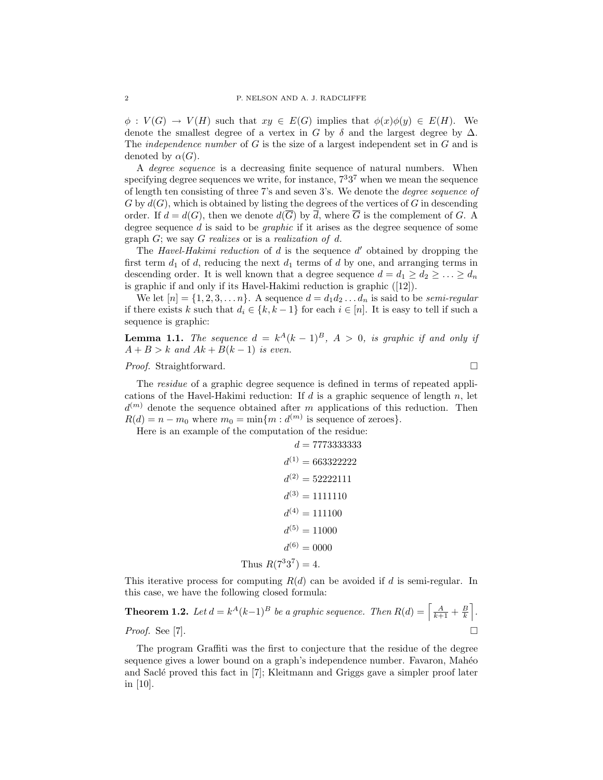$\phi: V(G) \to V(H)$  such that  $xy \in E(G)$  implies that  $\phi(x)\phi(y) \in E(H)$ . We denote the smallest degree of a vertex in G by  $\delta$  and the largest degree by  $\Delta$ . The *independence number* of G is the size of a largest independent set in G and is denoted by  $\alpha(G)$ .

A degree sequence is a decreasing finite sequence of natural numbers. When specifying degree sequences we write, for instance,  $7<sup>3</sup>3<sup>7</sup>$  when we mean the sequence of length ten consisting of three 7's and seven 3's. We denote the degree sequence of  $G$  by  $d(G)$ , which is obtained by listing the degrees of the vertices of G in descending order. If  $d = d(G)$ , then we denote  $d(\overline{G})$  by  $\overline{d}$ , where  $\overline{G}$  is the complement of G. A degree sequence d is said to be graphic if it arises as the degree sequence of some graph  $G$ ; we say  $G$  realizes or is a realization of d.

The Havel-Hakimi reduction of  $d$  is the sequence  $d'$  obtained by dropping the first term  $d_1$  of d, reducing the next  $d_1$  terms of d by one, and arranging terms in descending order. It is well known that a degree sequence  $d = d_1 \geq d_2 \geq \ldots \geq d_n$ is graphic if and only if its Havel-Hakimi reduction is graphic ([12]).

We let  $[n] = \{1, 2, 3, \ldots n\}$ . A sequence  $d = d_1 d_2 \ldots d_n$  is said to be semi-regular if there exists k such that  $d_i \in \{k, k-1\}$  for each  $i \in [n]$ . It is easy to tell if such a sequence is graphic:

**Lemma 1.1.** The sequence  $d = k^A(k-1)^B$ ,  $A > 0$ , is graphic if and only if  $A + B > k$  and  $Ak + B(k - 1)$  is even.

# *Proof.* Straightforward. □

The *residue* of a graphic degree sequence is defined in terms of repeated applications of the Havel-Hakimi reduction: If  $d$  is a graphic sequence of length  $n$ , let  $d^{(m)}$  denote the sequence obtained after m applications of this reduction. Then  $R(d) = n - m_0$  where  $m_0 = \min\{m : d^{(m)}$  is sequence of zeroes}.

Here is an example of the computation of the residue:

$$
d = 7773333333
$$

$$
d^{(1)} = 663322222
$$

$$
d^{(2)} = 52222111
$$

$$
d^{(3)} = 1111110
$$

$$
d^{(4)} = 111100
$$

$$
d^{(5)} = 11000
$$

$$
d^{(6)} = 0000
$$
Thus 
$$
R(7337) = 4
$$
.

This iterative process for computing  $R(d)$  can be avoided if d is semi-regular. In this case, we have the following closed formula:

**Theorem 1.2.** Let 
$$
d = k^A (k-1)^B
$$
 be a graphic sequence. Then  $R(d) = \left\lceil \frac{A}{k+1} + \frac{B}{k} \right\rceil$ .  
Proof. See [7].

The program Graffiti was the first to conjecture that the residue of the degree sequence gives a lower bound on a graph's independence number. Favaron, Mahéo and Saclé proved this fact in  $|7|$ ; Kleitmann and Griggs gave a simpler proof later in [10].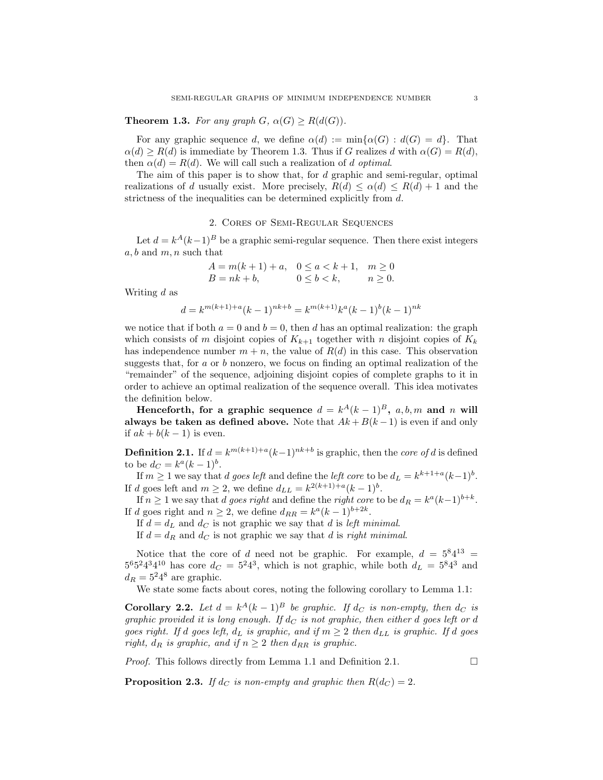**Theorem 1.3.** For any graph  $G$ ,  $\alpha(G) \geq R(d(G))$ .

For any graphic sequence d, we define  $\alpha(d) := \min{\alpha(G) : d(G) = d}$ . That  $\alpha(d) \ge R(d)$  is immediate by Theorem 1.3. Thus if G realizes d with  $\alpha(G) = R(d)$ , then  $\alpha(d) = R(d)$ . We will call such a realization of d *optimal*.

The aim of this paper is to show that, for d graphic and semi-regular, optimal realizations of d usually exist. More precisely,  $R(d) \leq \alpha(d) \leq R(d) + 1$  and the strictness of the inequalities can be determined explicitly from d.

# 2. Cores of Semi-Regular Sequences

Let  $d = k^A (k-1)^B$  be a graphic semi-regular sequence. Then there exist integers  $a, b$  and  $m, n$  such that

$$
A = m(k+1) + a, \quad 0 \le a < k+1, \quad m \ge 0
$$
  

$$
B = nk + b, \qquad 0 \le b < k, \qquad n \ge 0.
$$

Writing d as

$$
d = k^{m(k+1)+a}(k-1)^{nk+b} = k^{m(k+1)}k^{a}(k-1)^{b}(k-1)^{nk}
$$

we notice that if both  $a = 0$  and  $b = 0$ , then d has an optimal realization: the graph which consists of m disjoint copies of  $K_{k+1}$  together with n disjoint copies of  $K_k$ has independence number  $m + n$ , the value of  $R(d)$  in this case. This observation suggests that, for a or b nonzero, we focus on finding an optimal realization of the "remainder" of the sequence, adjoining disjoint copies of complete graphs to it in order to achieve an optimal realization of the sequence overall. This idea motivates the definition below.

Henceforth, for a graphic sequence  $d = k^A (k-1)^B$ ,  $a, b, m$  and n will always be taken as defined above. Note that  $Ak + B(k-1)$  is even if and only if  $ak + b(k - 1)$  is even.

**Definition 2.1.** If  $d = k^{m(k+1)+a}(k-1)^{nk+b}$  is graphic, then the *core of d* is defined to be  $d_C = k^a (k-1)^b$ .

If  $m \geq 1$  we say that d goes left and define the left core to be  $d_L = k^{k+1+a}(k-1)^b$ . If d goes left and  $m \geq 2$ , we define  $d_{LL} = k^{2(k+1)+a}(k-1)^b$ .

If  $n \geq 1$  we say that d goes right and define the right core to be  $d_R = k^a (k-1)^{b+k}$ . If d goes right and  $n \geq 2$ , we define  $d_{RR} = k^a (k-1)^{b+2k}$ .

If  $d = d<sub>L</sub>$  and  $d<sub>C</sub>$  is not graphic we say that d is left minimal.

If  $d = d_R$  and  $d_C$  is not graphic we say that d is right minimal.

Notice that the core of d need not be graphic. For example,  $d = 5^84^{13}$  $5^65^24^34^{10}$  has core  $d_C = 5^24^3$ , which is not graphic, while both  $d_L = 5^84^3$  and  $d_R = 5^2 4^8$  are graphic.

We state some facts about cores, noting the following corollary to Lemma 1.1:

**Corollary 2.2.** Let  $d = k^A(k-1)^B$  be graphic. If  $d_C$  is non-empty, then  $d_C$  is graphic provided it is long enough. If  $d<sub>C</sub>$  is not graphic, then either d goes left or d goes right. If d goes left,  $d_L$  is graphic, and if  $m \geq 2$  then  $d_{LL}$  is graphic. If d goes right,  $d_R$  is graphic, and if  $n \geq 2$  then  $d_{RR}$  is graphic.

*Proof.* This follows directly from Lemma 1.1 and Definition 2.1.  $\Box$ 

**Proposition 2.3.** If  $d_C$  is non-empty and graphic then  $R(d_C) = 2$ .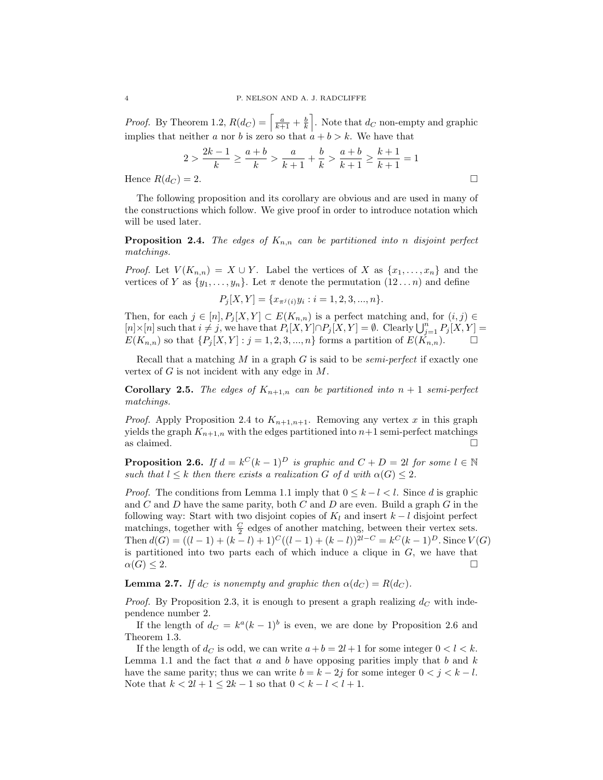*Proof.* By Theorem 1.2,  $R(d_C) = \left[\frac{a}{k+1} + \frac{b}{k}\right]$ . Note that  $d_C$  non-empty and graphic implies that neither a nor b is zero so that  $a + b > k$ . We have that

$$
2 > \frac{2k-1}{k} \ge \frac{a+b}{k} > \frac{a}{k+1} + \frac{b}{k} > \frac{a+b}{k+1} \ge \frac{k+1}{k+1} = 1
$$
  
Hence  $R(d_C) = 2$ .

The following proposition and its corollary are obvious and are used in many of the constructions which follow. We give proof in order to introduce notation which will be used later.

**Proposition 2.4.** The edges of  $K_{n,n}$  can be partitioned into n disjoint perfect matchings.

*Proof.* Let  $V(K_{n,n}) = X \cup Y$ . Label the vertices of X as  $\{x_1, \ldots, x_n\}$  and the vertices of Y as  $\{y_1, \ldots, y_n\}$ . Let  $\pi$  denote the permutation  $(12 \ldots n)$  and define

 $P_j[X,Y] = \{x_{\pi^j(i)}y_i : i = 1,2,3,...,n\}.$ 

Then, for each  $j \in [n], P_j[X, Y] \subset E(K_{n,n})$  is a perfect matching and, for  $(i, j) \in$  $[n] \times [n]$  such that  $i \neq j$ , we have that  $P_i[X, Y] \cap P_j[X, Y] = \emptyset$ . Clearly  $\bigcup_{j=1}^n P_j[X, Y] =$  $E(K_{n,n})$  so that  $\{P_j[X, Y] : j = 1, 2, 3, ..., n\}$  forms a partition of  $E(K_{n,n})$ .

Recall that a matching M in a graph G is said to be *semi-perfect* if exactly one vertex of  $G$  is not incident with any edge in  $M$ .

**Corollary 2.5.** The edges of  $K_{n+1,n}$  can be partitioned into  $n+1$  semi-perfect matchings.

*Proof.* Apply Proposition 2.4 to  $K_{n+1,n+1}$ . Removing any vertex x in this graph yields the graph  $K_{n+1,n}$  with the edges partitioned into  $n+1$  semi-perfect matchings as claimed.  $\hfill \square$ 

**Proposition 2.6.** If  $d = k^C(k-1)^D$  is graphic and  $C + D = 2l$  for some  $l \in \mathbb{N}$ such that  $l \leq k$  then there exists a realization G of d with  $\alpha(G) \leq 2$ .

*Proof.* The conditions from Lemma 1.1 imply that  $0 \leq k - l \leq l$ . Since d is graphic and  $C$  and  $D$  have the same parity, both  $C$  and  $D$  are even. Build a graph  $G$  in the following way: Start with two disjoint copies of  $K_l$  and insert  $k - l$  disjoint perfect matchings, together with  $\frac{C}{2}$  edges of another matching, between their vertex sets. Then  $d(G) = ((l-1) + (k-l) + 1)^{C}((l-1) + (k-l))^{2l-C} = k^{C}(k-1)^{D}$ . Since  $V(G)$ is partitioned into two parts each of which induce a clique in  $G$ , we have that  $\alpha(G) \leq 2.$ 

**Lemma 2.7.** If  $d_C$  is nonempty and graphic then  $\alpha(d_C) = R(d_C)$ .

*Proof.* By Proposition 2.3, it is enough to present a graph realizing  $d_C$  with independence number 2.

If the length of  $d_C = k^a (k-1)^b$  is even, we are done by Proposition 2.6 and Theorem 1.3.

If the length of  $d_C$  is odd, we can write  $a+b=2l+1$  for some integer  $0 < l < k$ . Lemma 1.1 and the fact that  $a$  and  $b$  have opposing parities imply that  $b$  and  $k$ have the same parity; thus we can write  $b = k - 2j$  for some integer  $0 < j < k - l$ . Note that  $k < 2l + 1 \leq 2k - 1$  so that  $0 < k - l < l + 1$ .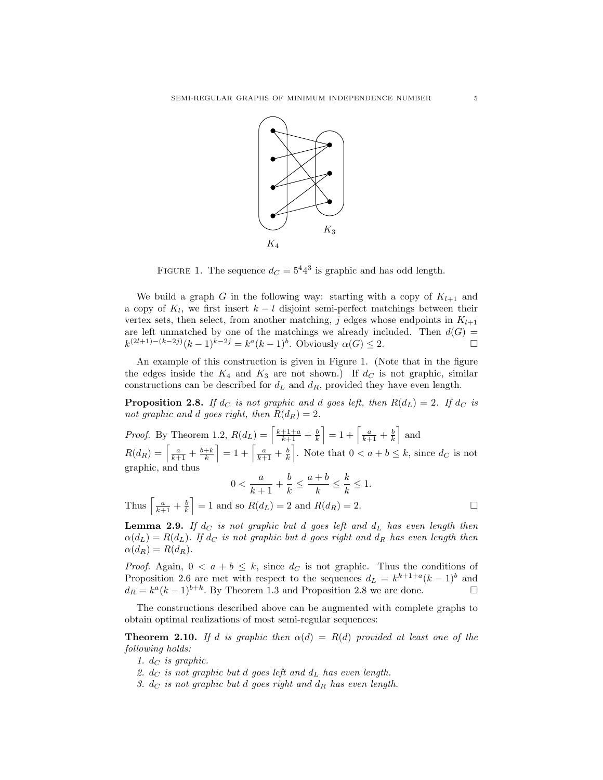

FIGURE 1. The sequence  $d_C = 5^4 4^3$  is graphic and has odd length.

We build a graph G in the following way: starting with a copy of  $K_{l+1}$  and a copy of  $K_l$ , we first insert  $k - l$  disjoint semi-perfect matchings between their vertex sets, then select, from another matching, j edges whose endpoints in  $K_{l+1}$ are left unmatched by one of the matchings we already included. Then  $d(G)$  =  $k^{(2l+1)-(k-2j)}(k-1)^{k-2j} = k^{a}(k-1)^{b}$ . Obviously  $\alpha(G) \leq 2$ . □

An example of this construction is given in Figure 1. (Note that in the figure the edges inside the  $K_4$  and  $K_3$  are not shown.) If  $d_C$  is not graphic, similar constructions can be described for  $d_L$  and  $d_R$ , provided they have even length.

**Proposition 2.8.** If  $d_C$  is not graphic and d goes left, then  $R(d_L) = 2$ . If  $d_C$  is not graphic and d goes right, then  $R(d_R) = 2$ .

*Proof.* By Theorem 1.2,  $R(d_L) = \left[\frac{k+1+a}{k+1} + \frac{b}{k}\right] = 1 + \left[\frac{a}{k+1} + \frac{b}{k}\right]$  and  $R(d_R) = \left\lceil \frac{a}{k+1} + \frac{b+k}{k} \right\rceil = 1 + \left\lceil \frac{a}{k+1} + \frac{b}{k} \right\rceil$ . Note that  $0 < a + b \leq k$ , since  $d_C$  is not graphic, and thus

$$
0 < \frac{a}{k+1} + \frac{b}{k} \le \frac{a+b}{k} \le \frac{k}{k} \le 1.
$$
\nThus  $\left[ \frac{a}{k+1} + \frac{b}{k} \right] = 1$  and so  $R(d_L) = 2$  and  $R(d_R) = 2$ .

**Lemma 2.9.** If  $d_C$  is not graphic but d goes left and  $d_L$  has even length then  $\alpha(d_L) = R(d_L)$ . If  $d_C$  is not graphic but d goes right and  $d_R$  has even length then  $\alpha(d_R) = R(d_R).$ 

*Proof.* Again,  $0 < a + b \le k$ , since  $d_C$  is not graphic. Thus the conditions of Proposition 2.6 are met with respect to the sequences  $d_L = k^{k+1+a}(k-1)^b$  and  $d_R = k^a (k-1)^{b+k}$ . By Theorem 1.3 and Proposition 2.8 we are done.

The constructions described above can be augmented with complete graphs to obtain optimal realizations of most semi-regular sequences:

**Theorem 2.10.** If d is graphic then  $\alpha(d) = R(d)$  provided at least one of the following holds:

1.  $d_C$  is graphic.

2.  $d_C$  is not graphic but d goes left and  $d_L$  has even length.

3.  $d_C$  is not graphic but d goes right and  $d_R$  has even length.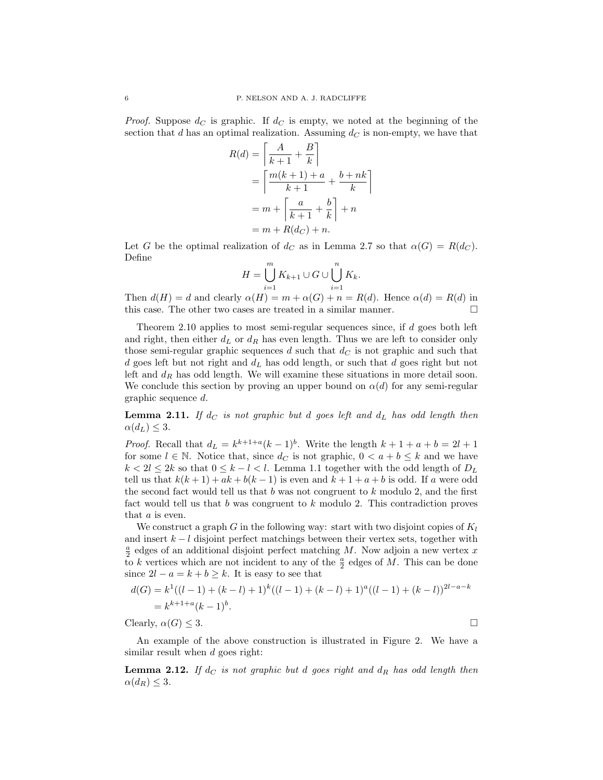*Proof.* Suppose  $d_C$  is graphic. If  $d_C$  is empty, we noted at the beginning of the section that d has an optimal realization. Assuming  $d<sub>C</sub>$  is non-empty, we have that

$$
R(d) = \left\lceil \frac{A}{k+1} + \frac{B}{k} \right\rceil
$$
  
= 
$$
\left\lceil \frac{m(k+1) + a}{k+1} + \frac{b+nk}{k} \right\rceil
$$
  
= 
$$
m + \left\lceil \frac{a}{k+1} + \frac{b}{k} \right\rceil + n
$$
  
= 
$$
m + R(d_C) + n.
$$

Let G be the optimal realization of  $d_C$  as in Lemma 2.7 so that  $\alpha(G) = R(d_C)$ . Define

$$
H = \bigcup_{i=1}^{m} K_{k+1} \cup G \cup \bigcup_{i=1}^{n} K_{k}.
$$

Then  $d(H) = d$  and clearly  $\alpha(H) = m + \alpha(G) + n = R(d)$ . Hence  $\alpha(d) = R(d)$  in this case. The other two cases are treated in a similar manner.  $\Box$ 

Theorem 2.10 applies to most semi-regular sequences since, if d goes both left and right, then either  $d<sub>L</sub>$  or  $d<sub>R</sub>$  has even length. Thus we are left to consider only those semi-regular graphic sequences  $d$  such that  $d<sub>C</sub>$  is not graphic and such that  $d$  goes left but not right and  $d<sub>L</sub>$  has odd length, or such that  $d$  goes right but not left and  $d_R$  has odd length. We will examine these situations in more detail soon. We conclude this section by proving an upper bound on  $\alpha(d)$  for any semi-regular graphic sequence d.

**Lemma 2.11.** If  $d_C$  is not graphic but d goes left and  $d_L$  has odd length then  $\alpha(d_L) \leq 3.$ 

*Proof.* Recall that  $d_L = k^{k+1+a}(k-1)^b$ . Write the length  $k+1+a+b=2l+1$ for some  $l \in \mathbb{N}$ . Notice that, since  $d_C$  is not graphic,  $0 < a + b \leq k$  and we have  $k < 2l \leq 2k$  so that  $0 \leq k - l < l$ . Lemma 1.1 together with the odd length of  $D_L$ tell us that  $k(k+1) + ak + b(k-1)$  is even and  $k+1+a+b$  is odd. If a were odd the second fact would tell us that  $b$  was not congruent to  $k$  modulo 2, and the first fact would tell us that  $b$  was congruent to  $k$  modulo 2. This contradiction proves that a is even.

We construct a graph G in the following way: start with two disjoint copies of  $K_l$ and insert  $k - l$  disjoint perfect matchings between their vertex sets, together with  $\frac{a}{2}$  edges of an additional disjoint perfect matching M. Now adjoin a new vertex x to k vertices which are not incident to any of the  $\frac{a}{2}$  edges of M. This can be done since  $2l - a = k + b \geq k$ . It is easy to see that

$$
d(G) = k1((l - 1) + (k - l) + 1)k((l - 1) + (k - l) + 1)a((l - 1) + (k - l))2l - a - k
$$
  
=  $kk+1+a(k - 1)b$ .

Clearly,  $\alpha(G) \leq 3$ .

An example of the above construction is illustrated in Figure 2. We have a similar result when  $d$  goes right:

**Lemma 2.12.** If  $d_C$  is not graphic but d goes right and  $d_R$  has odd length then  $\alpha(d_R) \leq 3.$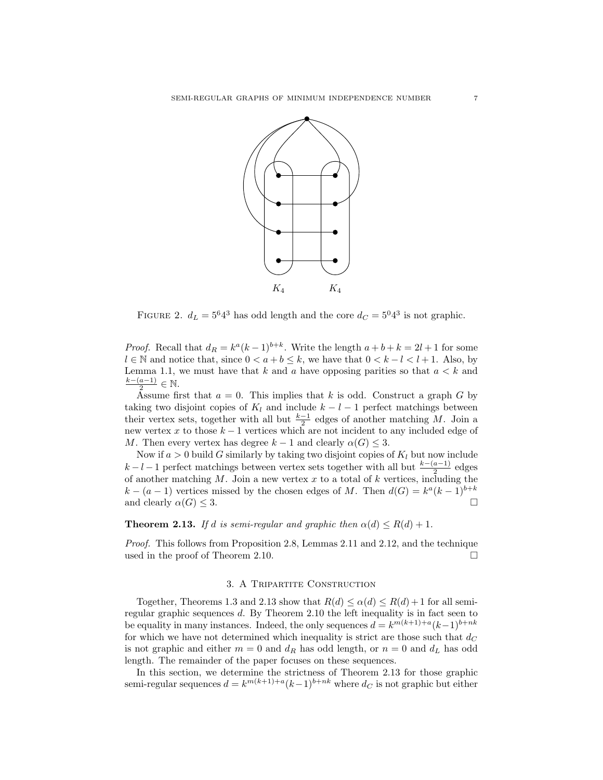

FIGURE 2.  $d_L = 5^6 4^3$  has odd length and the core  $d_C = 5^0 4^3$  is not graphic.

*Proof.* Recall that  $d_R = k^a (k-1)^{b+k}$ . Write the length  $a+b+k=2l+1$  for some  $l \in \mathbb{N}$  and notice that, since  $0 < a + b \leq k$ , we have that  $0 < k - l < l + 1$ . Also, by Lemma 1.1, we must have that k and a have opposing parities so that  $a < k$  and  $k-(a-1)$  $\frac{a-1)}{2} \in \mathbb{N}.$ 

Assume first that  $a = 0$ . This implies that k is odd. Construct a graph G by taking two disjoint copies of  $K_l$  and include  $k - l - 1$  perfect matchings between their vertex sets, together with all but  $\frac{k-1}{2}$  edges of another matching M. Join a new vertex x to those  $k-1$  vertices which are not incident to any included edge of M. Then every vertex has degree  $k-1$  and clearly  $\alpha(G) \leq 3$ .

Now if  $a > 0$  build G similarly by taking two disjoint copies of  $K_l$  but now include  $k - l - 1$  perfect matchings between vertex sets together with all but  $\frac{k-(a-1)}{2}$  edges of another matching  $M$ . Join a new vertex  $x$  to a total of  $k$  vertices, including the  $k - (a - 1)$  vertices missed by the chosen edges of M. Then  $d(G) = k^a (k-1)^{b+k}$ and clearly  $\alpha(G) \leq 3$ .

**Theorem 2.13.** If d is semi-regular and graphic then  $\alpha(d) \leq R(d) + 1$ .

Proof. This follows from Proposition 2.8, Lemmas 2.11 and 2.12, and the technique used in the proof of Theorem 2.10.

# 3. A Tripartite Construction

Together, Theorems 1.3 and 2.13 show that  $R(d) \leq \alpha(d) \leq R(d) + 1$  for all semiregular graphic sequences d. By Theorem 2.10 the left inequality is in fact seen to be equality in many instances. Indeed, the only sequences  $d = k^{m(k+1)+a}(k-1)^{b+nk}$ for which we have not determined which inequality is strict are those such that  $d_C$ is not graphic and either  $m = 0$  and  $d_R$  has odd length, or  $n = 0$  and  $d_L$  has odd length. The remainder of the paper focuses on these sequences.

In this section, we determine the strictness of Theorem 2.13 for those graphic semi-regular sequences  $d = k^{m(k+1)+a}(k-1)^{b+nk}$  where  $d_C$  is not graphic but either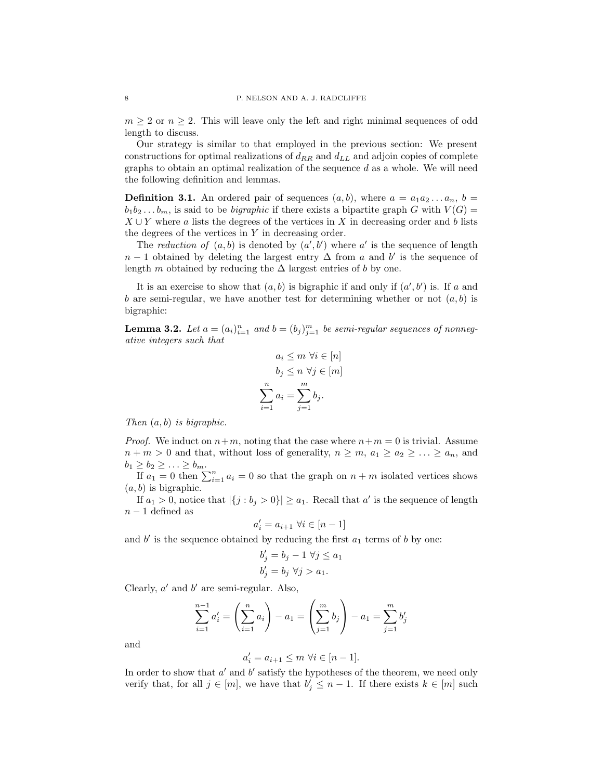$m \geq 2$  or  $n \geq 2$ . This will leave only the left and right minimal sequences of odd length to discuss.

Our strategy is similar to that employed in the previous section: We present constructions for optimal realizations of  $d_{RR}$  and  $d_{LL}$  and adjoin copies of complete graphs to obtain an optimal realization of the sequence  $d$  as a whole. We will need the following definition and lemmas.

**Definition 3.1.** An ordered pair of sequences  $(a, b)$ , where  $a = a_1 a_2 ... a_n$ ,  $b =$  $b_1b_2...b_m$ , is said to be *bigraphic* if there exists a bipartite graph G with  $V(G)$  =  $X \cup Y$  where a lists the degrees of the vertices in X in decreasing order and b lists the degrees of the vertices in  $Y$  in decreasing order.

The reduction of  $(a, b)$  is denoted by  $(a', b')$  where a' is the sequence of length  $n-1$  obtained by deleting the largest entry  $\Delta$  from a and b' is the sequence of length m obtained by reducing the  $\Delta$  largest entries of b by one.

It is an exercise to show that  $(a, b)$  is bigraphic if and only if  $(a', b')$  is. If a and b are semi-regular, we have another test for determining whether or not  $(a, b)$  is bigraphic:

**Lemma 3.2.** Let  $a = (a_i)_{i=1}^n$  and  $b = (b_j)_{j=1}^m$  be semi-regular sequences of nonnegative integers such that

$$
a_i \le m \ \forall i \in [n]
$$

$$
b_j \le n \ \forall j \in [m]
$$

$$
\sum_{i=1}^n a_i = \sum_{j=1}^m b_j.
$$

Then  $(a, b)$  is bigraphic.

*Proof.* We induct on  $n+m$ , noting that the case where  $n+m=0$  is trivial. Assume  $n + m > 0$  and that, without loss of generality,  $n \geq m$ ,  $a_1 \geq a_2 \geq \ldots \geq a_n$ , and  $b_1 \geq b_2 \geq \ldots \geq b_m.$ 

If  $a_1 = 0$  then  $\sum_{i=1}^n a_i = 0$  so that the graph on  $n + m$  isolated vertices shows  $(a, b)$  is bigraphic.

If  $a_1 > 0$ , notice that  $|\{j : b_j > 0\}| \ge a_1$ . Recall that a' is the sequence of length  $n-1$  defined as

$$
a'_i=a_{i+1} \; \forall i \in [n-1]
$$

and  $b'$  is the sequence obtained by reducing the first  $a_1$  terms of  $b$  by one:

$$
b'_j = b_j - 1 \ \forall j \le a_1
$$
  

$$
b'_j = b_j \ \forall j > a_1.
$$

Clearly,  $a'$  and  $b'$  are semi-regular. Also,

$$
\sum_{i=1}^{n-1} a'_i = \left(\sum_{i=1}^n a_i\right) - a_1 = \left(\sum_{j=1}^m b_j\right) - a_1 = \sum_{j=1}^m b'_j
$$

and

$$
a'_i=a_{i+1}\leq m\ \forall i\in[n-1].
$$

In order to show that  $a'$  and  $b'$  satisfy the hypotheses of the theorem, we need only verify that, for all  $j \in [m]$ , we have that  $b'_j \leq n-1$ . If there exists  $k \in [m]$  such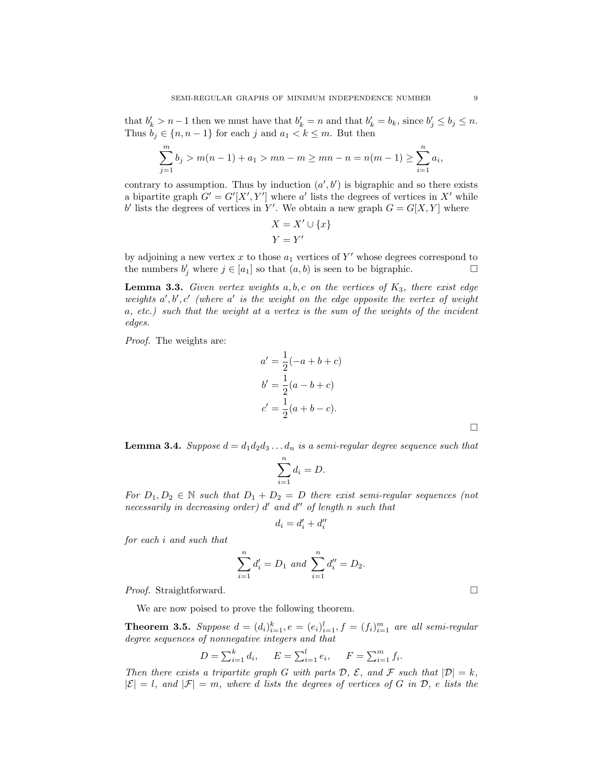that  $b'_k > n-1$  then we must have that  $b'_k = n$  and that  $b'_k = b_k$ , since  $b'_j \leq b_j \leq n$ . Thus  $b_j \in \{n, n-1\}$  for each j and  $a_1 < k \leq m$ . But then

$$
\sum_{j=1}^{m} b_j > m(n-1) + a_1 > mn - m \ge mn - n = n(m-1) \ge \sum_{i=1}^{n} a_i,
$$

contrary to assumption. Thus by induction  $(a', b')$  is bigraphic and so there exists a bipartite graph  $G' = G'[X', Y']$  where a' lists the degrees of vertices in X' while b' lists the degrees of vertices in Y'. We obtain a new graph  $G = G[X, Y]$  where

$$
X = X' \cup \{x\}
$$

$$
Y = Y'
$$

by adjoining a new vertex  $x$  to those  $a_1$  vertices of  $Y'$  whose degrees correspond to the numbers  $b'_j$  where  $j \in [a_1]$  so that  $(a, b)$  is seen to be bigraphic.

**Lemma 3.3.** Given vertex weights  $a, b, c$  on the vertices of  $K_3$ , there exist edge weights  $a', b', c'$  (where  $a'$  is the weight on the edge opposite the vertex of weight a, etc.) such that the weight at a vertex is the sum of the weights of the incident edges.

Proof. The weights are:

$$
a' = \frac{1}{2}(-a+b+c)
$$
  
\n
$$
b' = \frac{1}{2}(a-b+c)
$$
  
\n
$$
c' = \frac{1}{2}(a+b-c).
$$

**Lemma 3.4.** Suppose  $d = d_1 d_2 d_3 \dots d_n$  is a semi-regular degree sequence such that

$$
\sum_{i=1}^{n} d_i = D.
$$

For  $D_1, D_2 \in \mathbb{N}$  such that  $D_1 + D_2 = D$  there exist semi-regular sequences (not necessarily in decreasing order)  $d'$  and  $d''$  of length n such that

$$
d_i = d'_i + d''_i
$$

for each i and such that

$$
\sum_{i=1}^{n} d'_{i} = D_{1} \text{ and } \sum_{i=1}^{n} d''_{i} = D_{2}.
$$

Proof. Straightforward. □

We are now poised to prove the following theorem.

**Theorem 3.5.** Suppose  $d = (d_i)_{i=1}^k$ ,  $e = (e_i)_{i=1}^l$ ,  $f = (f_i)_{i=1}^m$  are all semi-regular degree sequences of nonnegative integers and that

$$
D = \sum_{i=1}^{k} d_i, \quad E = \sum_{i=1}^{l} e_i, \quad F = \sum_{i=1}^{m} f_i.
$$

Then there exists a tripartite graph G with parts D,  $\mathcal{E}$ , and F such that  $|\mathcal{D}| = k$ ,  $|\mathcal{E}| = l$ , and  $|\mathcal{F}| = m$ , where d lists the degrees of vertices of G in D, e lists the

 $\Box$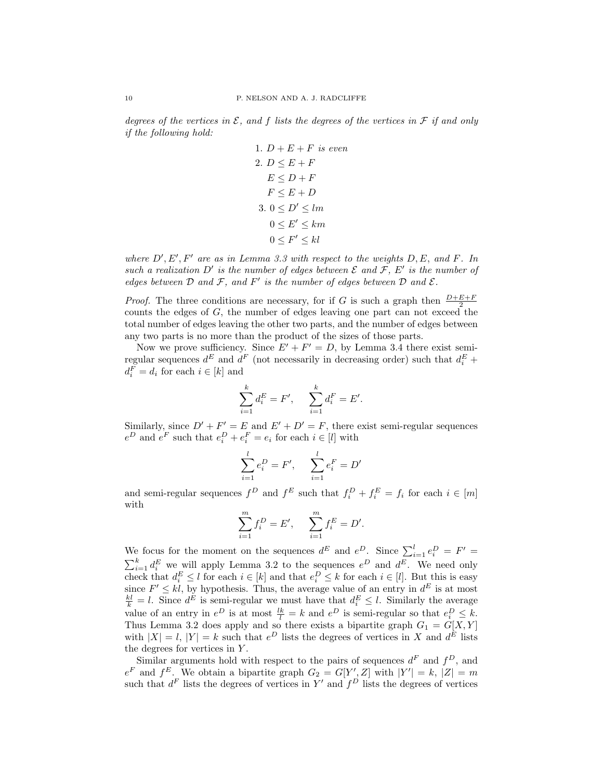degrees of the vertices in  $\mathcal E$ , and f lists the degrees of the vertices in  $\mathcal F$  if and only if the following hold:

1. 
$$
D + E + F
$$
 is even  
\n2.  $D \le E + F$   
\n $E \le D + F$   
\n $F \le E + D$   
\n3.  $0 \le D' \le lm$   
\n $0 \le E' \le km$   
\n $0 \le F' \le kl$ 

where  $D', E', F'$  are as in Lemma 3.3 with respect to the weights  $D, E$ , and  $F$ . In such a realization D' is the number of edges between  $\mathcal E$  and  $\mathcal F$ , E' is the number of edges between  $D$  and  $F$ , and  $F'$  is the number of edges between  $D$  and  $E$ .

*Proof.* The three conditions are necessary, for if G is such a graph then  $\frac{D+E+F}{2}$ counts the edges of  $G$ , the number of edges leaving one part can not exceed the total number of edges leaving the other two parts, and the number of edges between any two parts is no more than the product of the sizes of those parts.

Now we prove sufficiency. Since  $E' + F' = D$ , by Lemma 3.4 there exist semiregular sequences  $d^E$  and  $d^F$  (not necessarily in decreasing order) such that  $d_i^E$  +  $d_i^F = d_i$  for each  $i \in [k]$  and

$$
\sum_{i=1}^{k} d_i^E = F', \quad \sum_{i=1}^{k} d_i^F = E'.
$$

Similarly, since  $D' + F' = E$  and  $E' + D' = F$ , there exist semi-regular sequences  $e^D$  and  $e^F$  such that  $e_i^D + e_i^F = e_i$  for each  $i \in [l]$  with

$$
\sum_{i=1}^{l} e_i^D = F', \quad \sum_{i=1}^{l} e_i^F = D'
$$

and semi-regular sequences  $f^D$  and  $f^E$  such that  $f_i^D + f_i^E = f_i$  for each  $i \in [m]$ with

$$
\sum_{i=1}^{m} f_i^D = E', \quad \sum_{i=1}^{m} f_i^E = D'.
$$

We focus for the moment on the sequences  $d^E$  and  $e^D$ . Since  $\sum_{i=1}^l e_i^D = F'$  $\sum_{i=1}^{k} d_i^E$  we will apply Lemma 3.2 to the sequences  $e^D$  and  $d^E$ . We need only check that  $d_i^E \leq l$  for each  $i \in [k]$  and that  $e_i^D \leq k$  for each  $i \in [l]$ . But this is easy since  $F' \le kl$ , by hypothesis. Thus, the average value of an entry in  $d^E$  is at most  $\frac{kl}{k} = l$ . Since  $d^E$  is semi-regular we must have that  $d_i^E \le l$ . Similarly the average value of an entry in  $e^D$  is at most  $\frac{lk}{l} = k$  and  $e^D$  is semi-regular so that  $e_i^D \leq k$ . Thus Lemma 3.2 does apply and so there exists a bipartite graph  $G_1 = G[X, Y]$ with  $|X| = l$ ,  $|Y| = k$  such that  $e^{D}$  lists the degrees of vertices in X and  $d^{E}$  lists the degrees for vertices in Y .

Similar arguments hold with respect to the pairs of sequences  $d^F$  and  $f^D$ , and  $e^F$  and  $f^E$ . We obtain a bipartite graph  $G_2 = G[Y', Z]$  with  $|Y'| = k, |Z| = m$ such that  $d^F$  lists the degrees of vertices in Y' and  $f^D$  lists the degrees of vertices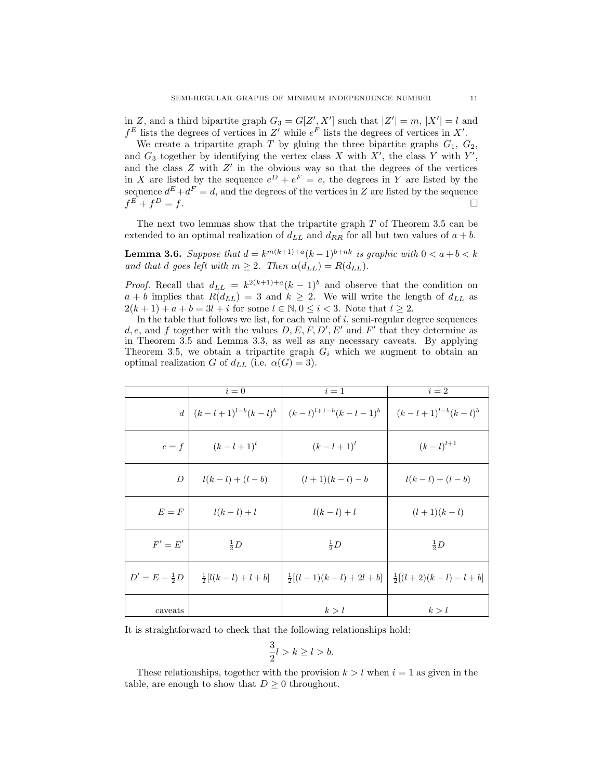in Z, and a third bipartite graph  $G_3 = G[Z', X']$  such that  $|Z'| = m$ ,  $|X'| = l$  and  $f^E$  lists the degrees of vertices in Z' while  $e^F$  lists the degrees of vertices in X'.

We create a tripartite graph T by gluing the three bipartite graphs  $G_1, G_2$ , and  $G_3$  together by identifying the vertex class X with  $X'$ , the class Y with Y', and the class  $Z$  with  $Z'$  in the obvious way so that the degrees of the vertices in X are listed by the sequence  $e^D + e^F = e$ , the degrees in Y are listed by the sequence  $d^E + d^F = d$ , and the degrees of the vertices in Z are listed by the sequence  $f^E+f$  $D = f.$ 

The next two lemmas show that the tripartite graph  $T$  of Theorem 3.5 can be extended to an optimal realization of  $d_{LL}$  and  $d_{RR}$  for all but two values of  $a + b$ .

**Lemma 3.6.** Suppose that  $d = k^{m(k+1)+a}(k-1)^{b+nk}$  is graphic with  $0 < a+b < k$ and that d goes left with  $m \geq 2$ . Then  $\alpha(d_{LL}) = R(d_{LL})$ .

*Proof.* Recall that  $d_{LL} = k^{2(k+1)+a}(k-1)^b$  and observe that the condition on  $a + b$  implies that  $R(d_{LL}) = 3$  and  $k \geq 2$ . We will write the length of  $d_{LL}$  as  $2(k+1)+a+b=3l+i$  for some  $l \in \mathbb{N}, 0 \leq i < 3$ . Note that  $l \geq 2$ .

In the table that follows we list, for each value of  $i$ , semi-regular degree sequences d, e, and f together with the values  $D, E, F, D', E'$  and F' that they determine as in Theorem 3.5 and Lemma 3.3, as well as any necessary caveats. By applying Theorem 3.5, we obtain a tripartite graph  $G_i$  which we augment to obtain an optimal realization G of  $d_{LL}$  (i.e.  $\alpha(G) = 3$ ).

|                         | $i=0$                     | $i=1$                                                                               | $i=2$          |
|-------------------------|---------------------------|-------------------------------------------------------------------------------------|----------------|
|                         |                           | $d \mid (k-l+1)^{l-b}(k-l)^b \mid (k-l)^{l+1-b}(k-l-1)^b \mid (k-l+1)^{l-b}(k-l)^b$ |                |
|                         | $e = f$ $(k - l + 1)^l$   | $(k-l+1)^{l}$                                                                       | $(k-l)^{l+1}$  |
| D                       | $l(k-l)+(l-b)$            | $(l+1)(k-l) - b$                                                                    | $l(k-l)+(l-b)$ |
| $E = F$                 | $l(k-l)+l$                | $l(k-l)+l$                                                                          | $(l+1)(k-l)$   |
| $F' = E'$               | $rac{1}{2}D$              | $rac{1}{2}D$                                                                        | $rac{1}{2}D$   |
| $D' = E - \frac{1}{2}D$ | $\frac{1}{2}[l(k-l)+l+b]$ | $\frac{1}{2}[(l-1)(k-l)+2l+b]$ $\frac{1}{2}[(l+2)(k-l)-l+b]$                        |                |
| caveats                 |                           | k > l                                                                               | k > l          |

It is straightforward to check that the following relationships hold:

$$
\frac{3}{2}l > k \geq l > b.
$$

These relationships, together with the provision  $k > l$  when  $i = 1$  as given in the table, are enough to show that  $D \geq 0$  throughout.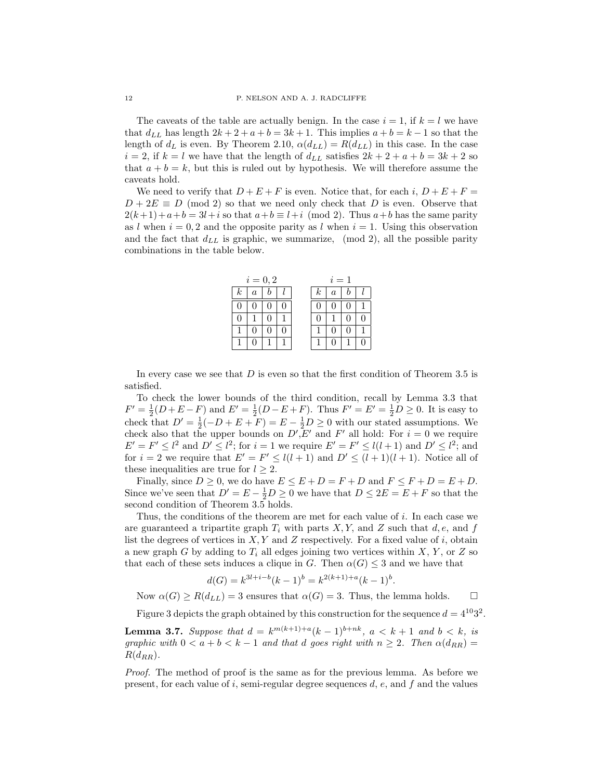The caveats of the table are actually benign. In the case  $i = 1$ , if  $k = l$  we have that  $d_{LL}$  has length  $2k + 2 + a + b = 3k + 1$ . This implies  $a + b = k - 1$  so that the length of  $d_L$  is even. By Theorem 2.10,  $\alpha(d_{LL}) = R(d_{LL})$  in this case. In the case  $i = 2$ , if  $k = l$  we have that the length of  $d_{LL}$  satisfies  $2k + 2 + a + b = 3k + 2$  so that  $a + b = k$ , but this is ruled out by hypothesis. We will therefore assume the caveats hold.

We need to verify that  $D + E + F$  is even. Notice that, for each i,  $D + E + F =$  $D + 2E \equiv D \pmod{2}$  so that we need only check that D is even. Observe that  $2(k+1)+a+b=3l+i$  so that  $a+b\equiv l+i \pmod{2}$ . Thus  $a+b$  has the same parity as l when  $i = 0, 2$  and the opposite parity as l when  $i = 1$ . Using this observation and the fact that  $d_{LL}$  is graphic, we summarize, (mod 2), all the possible parity combinations in the table below.

| $i=0,2$  |          |  | $i=1$ |          |                  |  |  |
|----------|----------|--|-------|----------|------------------|--|--|
| $\kappa$ | $\alpha$ |  |       | $\kappa$ | $\boldsymbol{a}$ |  |  |
|          |          |  |       |          |                  |  |  |
|          |          |  |       |          |                  |  |  |
|          |          |  |       |          |                  |  |  |
|          |          |  |       |          |                  |  |  |

In every case we see that  $D$  is even so that the first condition of Theorem 3.5 is satisfied.

To check the lower bounds of the third condition, recall by Lemma 3.3 that  $F' = \frac{1}{2}(D + E - F)$  and  $E' = \frac{1}{2}(D - E + F)$ . Thus  $F' = E' = \frac{1}{2}D \ge 0$ . It is easy to check that  $D' = \frac{1}{2}(-D + E + F) = E - \frac{1}{2}D \ge 0$  with our stated assumptions. We check also that the upper bounds on  $D', E'$  and  $F'$  all hold: For  $i = 0$  we require  $E' = F' \leq l^2$  and  $D' \leq l^2$ ; for  $i = 1$  we require  $E' = F' \leq l(l+1)$  and  $D' \leq l^2$ ; and for  $i = 2$  we require that  $E' = F' \leq l(l + 1)$  and  $D' \leq (l + 1)(l + 1)$ . Notice all of these inequalities are true for  $l \geq 2$ .

Finally, since  $D \ge 0$ , we do have  $E \le E + D = F + D$  and  $F \le F + D = E + D$ . Since we've seen that  $D' = E - \frac{1}{2}D \ge 0$  we have that  $D \le 2E = E + F$  so that the second condition of Theorem 3.5 holds.

Thus, the conditions of the theorem are met for each value of i. In each case we are guaranteed a tripartite graph  $T_i$  with parts  $X, Y$ , and Z such that  $d, e$ , and f list the degrees of vertices in  $X, Y$  and  $Z$  respectively. For a fixed value of i, obtain a new graph G by adding to  $T_i$  all edges joining two vertices within X, Y, or Z so that each of these sets induces a clique in G. Then  $\alpha(G) \leq 3$  and we have that

$$
d(G) = k^{3l+i-b}(k-1)^{b} = k^{2(k+1)+a}(k-1)^{b}.
$$

Now  $\alpha(G) \ge R(d_{LL}) = 3$  ensures that  $\alpha(G) = 3$ . Thus, the lemma holds.  $\square$ 

Figure 3 depicts the graph obtained by this construction for the sequence  $d = 4^{10}3^2$ .

**Lemma 3.7.** Suppose that  $d = k^{m(k+1)+a}(k-1)^{b+nk}$ ,  $a < k+1$  and  $b < k$ , is graphic with  $0 < a + b < k - 1$  and that d goes right with  $n \geq 2$ . Then  $\alpha(d_{RR}) =$  $R(d_{RR}).$ 

Proof. The method of proof is the same as for the previous lemma. As before we present, for each value of i, semi-regular degree sequences  $d, e$ , and  $f$  and the values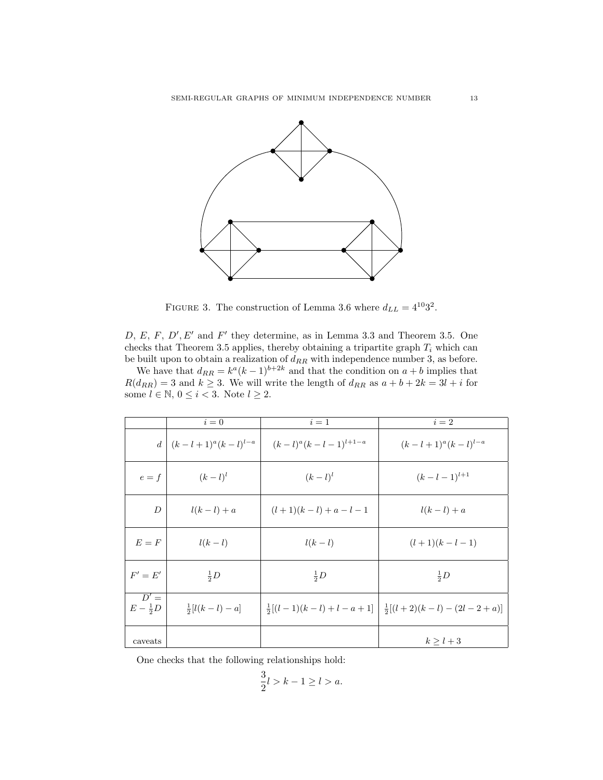

FIGURE 3. The construction of Lemma 3.6 where  $d_{LL} = 4^{10}3^2$ .

 $D, E, F, D', E'$  and  $F'$  they determine, as in Lemma 3.3 and Theorem 3.5. One checks that Theorem 3.5 applies, thereby obtaining a tripartite graph  $T_i$  which can be built upon to obtain a realization of  $d_{RR}$  with independence number 3, as before.

We have that  $d_{RR} = k^a (k-1)^{b+2k}$  and that the condition on  $a+b$  implies that  $R(d_{RR}) = 3$  and  $k \geq 3$ . We will write the length of  $d_{RR}$  as  $a + b + 2k = 3l + i$  for some  $l \in \mathbb{N}$ ,  $0 \leq i < 3$ . Note  $l \geq 2$ .

|                            | $i=0$                          | $i=1$                      | $i=2$                                                              |
|----------------------------|--------------------------------|----------------------------|--------------------------------------------------------------------|
|                            | $d \mid (k-l+1)^a (k-l)^{l-a}$ | $(k-l)^{a}(k-l-1)^{l+1-a}$ | $(k-l+1)^{a}(k-l)^{l-a}$                                           |
| $e = f$                    | $(k-l)^l$                      | $(k-l)^l$                  | $(k-l-1)^{l+1}$                                                    |
| $\boldsymbol{D}$           | $l(k-l)+a$                     | $(l+1)(k-l) + a - l - 1$   | $l(k-l)+a$                                                         |
| $E = F$                    | $l(k-l)$                       | $l(k-l)$                   | $(l+1)(k-l-1)$                                                     |
| $F' = E'$                  | $rac{1}{2}D$                   | $rac{1}{2}D$               | $rac{1}{2}D$                                                       |
| $D' =$<br>$E-\frac{1}{2}D$ | $\frac{1}{2}[l(k-l)-a]$        |                            | $\frac{1}{2}[(l-1)(k-l)+l-a+1]$ $\frac{1}{2}[(l+2)(k-l)-(2l-2+a)]$ |
| caveats                    |                                |                            | $k > l+3$                                                          |

One checks that the following relationships hold:

$$
\frac{3}{2}l > k - 1 \ge l > a.
$$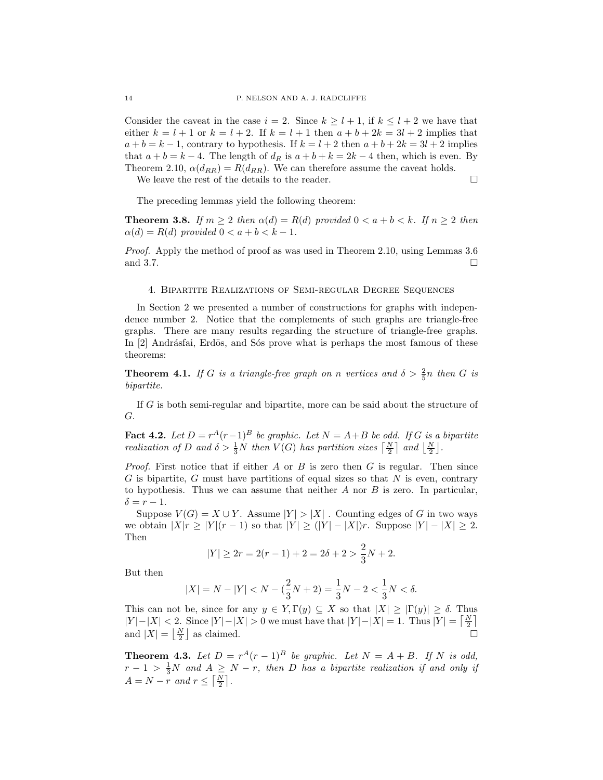Consider the caveat in the case  $i = 2$ . Since  $k \geq l + 1$ , if  $k \leq l + 2$  we have that either  $k = l + 1$  or  $k = l + 2$ . If  $k = l + 1$  then  $a + b + 2k = 3l + 2$  implies that  $a + b = k - 1$ , contrary to hypothesis. If  $k = l + 2$  then  $a + b + 2k = 3l + 2$  implies that  $a + b = k - 4$ . The length of  $d<sub>R</sub>$  is  $a + b + k = 2k - 4$  then, which is even. By Theorem 2.10,  $\alpha(d_{RR}) = R(d_{RR})$ . We can therefore assume the caveat holds.

We leave the rest of the details to the reader.  $\Box$ 

The preceding lemmas yield the following theorem:

**Theorem 3.8.** If  $m \geq 2$  then  $\alpha(d) = R(d)$  provided  $0 < a + b < k$ . If  $n \geq 2$  then  $\alpha(d) = R(d)$  provided  $0 < a + b < k - 1$ .

Proof. Apply the method of proof as was used in Theorem 2.10, using Lemmas 3.6 and 3.7.  $\Box$ 

#### 4. Bipartite Realizations of Semi-regular Degree Sequences

In Section 2 we presented a number of constructions for graphs with independence number 2. Notice that the complements of such graphs are triangle-free graphs. There are many results regarding the structure of triangle-free graphs. In  $[2]$  Andrásfai, Erdös, and Sós prove what is perhaps the most famous of these theorems:

**Theorem 4.1.** If G is a triangle-free graph on n vertices and  $\delta > \frac{2}{5}n$  then G is bipartite.

If G is both semi-regular and bipartite, more can be said about the structure of G.

**Fact 4.2.** Let  $D = r^A(r-1)^B$  be graphic. Let  $N = A+B$  be odd. If G is a bipartite realization of D and  $\delta > \frac{1}{3}N$  then  $V(G)$  has partition sizes  $\lceil \frac{N}{2} \rceil$  and  $\lfloor \frac{N}{2} \rfloor$ .

*Proof.* First notice that if either  $A$  or  $B$  is zero then  $G$  is regular. Then since  $G$  is bipartite,  $G$  must have partitions of equal sizes so that  $N$  is even, contrary to hypothesis. Thus we can assume that neither  $A$  nor  $B$  is zero. In particular,  $\delta = r - 1.$ 

Suppose  $V(G) = X \cup Y$ . Assume  $|Y| > |X|$ . Counting edges of G in two ways we obtain  $|X|r \ge |Y|(r-1)$  so that  $|Y| \ge (|Y| - |X|)r$ . Suppose  $|Y| - |X| \ge 2$ . Then

$$
|Y| \ge 2r = 2(r - 1) + 2 = 2\delta + 2 > \frac{2}{3}N + 2.
$$

But then

$$
|X| = N - |Y| < N - \left(\frac{2}{3}N + 2\right) = \frac{1}{3}N - 2 < \frac{1}{3}N < \delta.
$$

This can not be, since for any  $y \in Y, \Gamma(y) \subseteq X$  so that  $|X| \geq |\Gamma(y)| \geq \delta$ . Thus  $|Y| - |X| < 2$ . Since  $|Y| - |X| > 0$  we must have that  $|Y| - |X| = 1$ . Thus  $|Y| = \left\lfloor \frac{N}{2} \right\rfloor$ and  $|X| = \left\lfloor \frac{N}{2} \right\rfloor$  as claimed.

**Theorem 4.3.** Let  $D = r^{A}(r-1)^{B}$  be graphic. Let  $N = A + B$ . If N is odd,  $r-1$  >  $\frac{1}{3}N$  and  $A \geq N-r$ , then D has a bipartite realization if and only if  $A = N - r$  and  $r \leq \left\lceil \frac{N}{2} \right\rceil$ .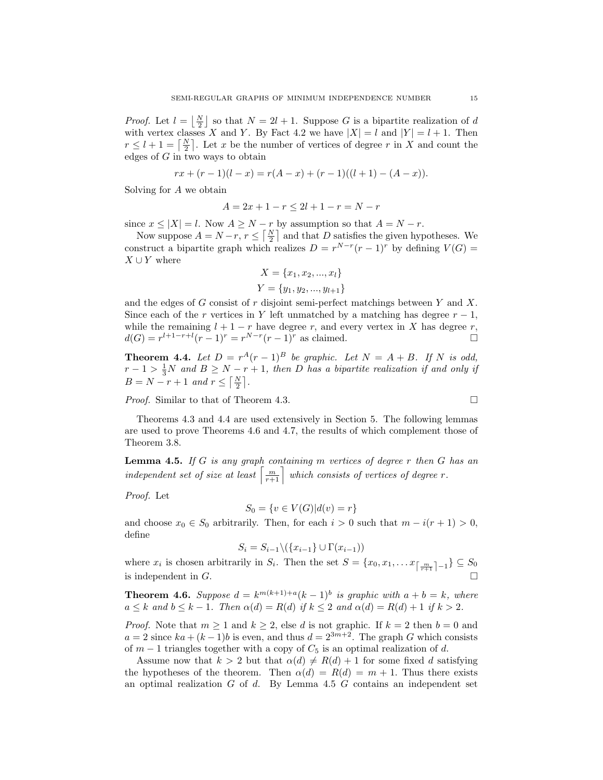*Proof.* Let  $l = \lfloor \frac{N}{2} \rfloor$  so that  $N = 2l + 1$ . Suppose G is a bipartite realization of d with vertex classes X and Y. By Fact 4.2 we have  $|X| = l$  and  $|Y| = l + 1$ . Then  $r \leq l+1 = \lceil \frac{N}{2} \rceil$ . Let x be the number of vertices of degree r in X and count the edges of  $G$  in two ways to obtain

$$
rx + (r-1)(l-x) = r(A-x) + (r-1)((l+1) - (A-x)).
$$

Solving for A we obtain

$$
A = 2x + 1 - r \le 2l + 1 - r = N - r
$$

since  $x \le |X| = l$ . Now  $A \ge N - r$  by assumption so that  $A = N - r$ .

Now suppose  $A = N - r$ ,  $r \leq \left\lceil \frac{N}{2} \right\rceil$  and that D satisfies the given hypotheses. We construct a bipartite graph which realizes  $D = r^{N-r}(r-1)^r$  by defining  $V(G)$  $X \cup Y$  where

$$
X = \{x_1, x_2, ..., x_l\}
$$
  

$$
Y = \{y_1, y_2, ..., y_{l+1}\}
$$

and the edges of  $G$  consist of  $r$  disjoint semi-perfect matchings between  $Y$  and  $X$ . Since each of the r vertices in Y left unmatched by a matching has degree  $r - 1$ , while the remaining  $l + 1 - r$  have degree r, and every vertex in X has degree r,  $d(G) = r^{l+1-r+l}(r-1)^r = r^{N-r}(r-1)^r$  as claimed.

**Theorem 4.4.** Let  $D = r^{A}(r-1)^{B}$  be graphic. Let  $N = A + B$ . If N is odd,  $r-1 > \frac{1}{3}N$  and  $B \ge N-r+1$ , then D has a bipartite realization if and only if  $B = N - r + 1$  and  $r \leq \left\lceil \frac{N}{2} \right\rceil$ .

Proof. Similar to that of Theorem 4.3.

Theorems 4.3 and 4.4 are used extensively in Section 5. The following lemmas are used to prove Theorems 4.6 and 4.7, the results of which complement those of Theorem 3.8.

**Lemma 4.5.** If G is any graph containing m vertices of degree r then G has an independent set of size at least  $\left\lceil \frac{m}{r+1} \right\rceil$  which consists of vertices of degree r.

Proof. Let

$$
S_0 = \{ v \in V(G) | d(v) = r \}
$$

and choose  $x_0 \in S_0$  arbitrarily. Then, for each  $i > 0$  such that  $m - i(r + 1) > 0$ , define

$$
S_i = S_{i-1} \setminus (\{x_{i-1}\} \cup \Gamma(x_{i-1}))
$$

where  $x_i$  is chosen arbitrarily in  $S_i$ . Then the set  $S = \{x_0, x_1, \ldots x_{\left\lceil \frac{m}{r+1} \right\rceil - 1}\} \subseteq S_0$ is independent in G.

**Theorem 4.6.** Suppose  $d = k^{m(k+1)+a}(k-1)^b$  is graphic with  $a + b = k$ , where  $a \leq k$  and  $b \leq k - 1$ . Then  $\alpha(d) = R(d)$  if  $k \leq 2$  and  $\alpha(d) = R(d) + 1$  if  $k > 2$ .

*Proof.* Note that  $m \ge 1$  and  $k \ge 2$ , else d is not graphic. If  $k = 2$  then  $b = 0$  and  $a = 2$  since  $ka + (k-1)b$  is even, and thus  $d = 2^{3m+2}$ . The graph G which consists of  $m-1$  triangles together with a copy of  $C_5$  is an optimal realization of d.

Assume now that  $k > 2$  but that  $\alpha(d) \neq R(d) + 1$  for some fixed d satisfying the hypotheses of the theorem. Then  $\alpha(d) = R(d) = m + 1$ . Thus there exists an optimal realization  $G$  of  $d$ . By Lemma 4.5  $G$  contains an independent set

$$
\qquad \qquad \Box
$$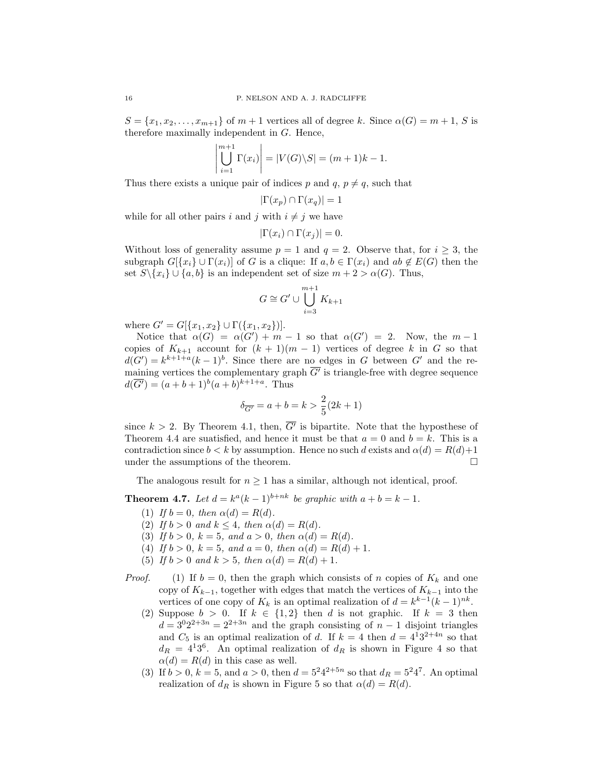$S = \{x_1, x_2, \ldots, x_{m+1}\}\$  of  $m+1$  vertices all of degree k. Since  $\alpha(G) = m+1$ , S is therefore maximally independent in G. Hence,

$$
\left| \bigcup_{i=1}^{m+1} \Gamma(x_i) \right| = |V(G) \setminus S| = (m+1)k - 1.
$$

Thus there exists a unique pair of indices p and  $q, p \neq q$ , such that

$$
|\Gamma(x_p)\cap \Gamma(x_q)|=1
$$

while for all other pairs i and j with  $i \neq j$  we have

 $\overline{\phantom{a}}$  $\overline{\phantom{a}}$  $\overline{\phantom{a}}$  $\overline{\phantom{a}}$  $\overline{\phantom{a}}$ 

$$
|\Gamma(x_i) \cap \Gamma(x_j)| = 0.
$$

Without loss of generality assume  $p = 1$  and  $q = 2$ . Observe that, for  $i \geq 3$ , the subgraph  $G[\{x_i\} \cup \Gamma(x_i)]$  of G is a clique: If  $a, b \in \Gamma(x_i)$  and  $ab \notin E(G)$  then the set  $S \setminus \{x_i\} \cup \{a, b\}$  is an independent set of size  $m + 2 > \alpha(G)$ . Thus,

$$
G \cong G' \cup \bigcup_{i=3}^{m+1} K_{k+1}
$$

where  $G' = G[{x_1, x_2} \cup \Gamma({x_1, x_2})$ .

Notice that  $\alpha(G) = \alpha(G') + m - 1$  so that  $\alpha(G') = 2$ . Now, the  $m-1$ copies of  $K_{k+1}$  account for  $(k + 1)(m - 1)$  vertices of degree k in G so that  $d(G') = k^{k+1+a}(k-1)^b$ . Since there are no edges in G between G' and the remaining vertices the complementary graph  $\overline{G}$  is triangle-free with degree sequence  $d(\overline{G'}) = (a+b+1)^b (a+b)^{k+1+a}$ . Thus

$$
\delta_{\overline{G'}}=a+b=k>\frac{2}{5}(2k+1)
$$

since  $k > 2$ . By Theorem 4.1, then,  $\overline{G'}$  is bipartite. Note that the hyposthese of Theorem 4.4 are suatisfied, and hence it must be that  $a = 0$  and  $b = k$ . This is a contradiction since  $b < k$  by assumption. Hence no such d exists and  $\alpha(d) = R(d)+1$ under the assumptions of the theorem.  $\Box$ 

The analogous result for  $n \geq 1$  has a similar, although not identical, proof.

**Theorem 4.7.** Let  $d = k^a(k-1)^{b+nk}$  be graphic with  $a+b=k-1$ .

- (1) If  $b = 0$ , then  $\alpha(d) = R(d)$ .
- (2) If  $b > 0$  and  $k \leq 4$ , then  $\alpha(d) = R(d)$ .
- (3) If  $b > 0$ ,  $k = 5$ , and  $a > 0$ , then  $\alpha(d) = R(d)$ .
- (4) If  $b > 0$ ,  $k = 5$ , and  $a = 0$ , then  $\alpha(d) = R(d) + 1$ .
- (5) If  $b > 0$  and  $k > 5$ , then  $\alpha(d) = R(d) + 1$ .
- *Proof.* (1) If  $b = 0$ , then the graph which consists of n copies of  $K_k$  and one copy of  $K_{k-1}$ , together with edges that match the vertices of  $K_{k-1}$  into the vertices of one copy of  $K_k$  is an optimal realization of  $d = k^{k-1}(k-1)^{nk}$ .
	- (2) Suppose  $b > 0$ . If  $k \in \{1,2\}$  then d is not graphic. If  $k = 3$  then  $d = 3^{0}2^{2+3n} = 2^{2+3n}$  and the graph consisting of  $n-1$  disjoint triangles and  $C_5$  is an optimal realization of d. If  $k = 4$  then  $d = 4^{\frac{1}{2}+4n}$  so that  $d_R = 4^13^6$ . An optimal realization of  $d_R$  is shown in Figure 4 so that  $\alpha(d) = R(d)$  in this case as well.
	- (3) If  $b > 0$ ,  $k = 5$ , and  $a > 0$ , then  $d = 5^2 4^{2+5n}$  so that  $d_R = 5^2 4^7$ . An optimal realization of  $d_R$  is shown in Figure 5 so that  $\alpha(d) = R(d)$ .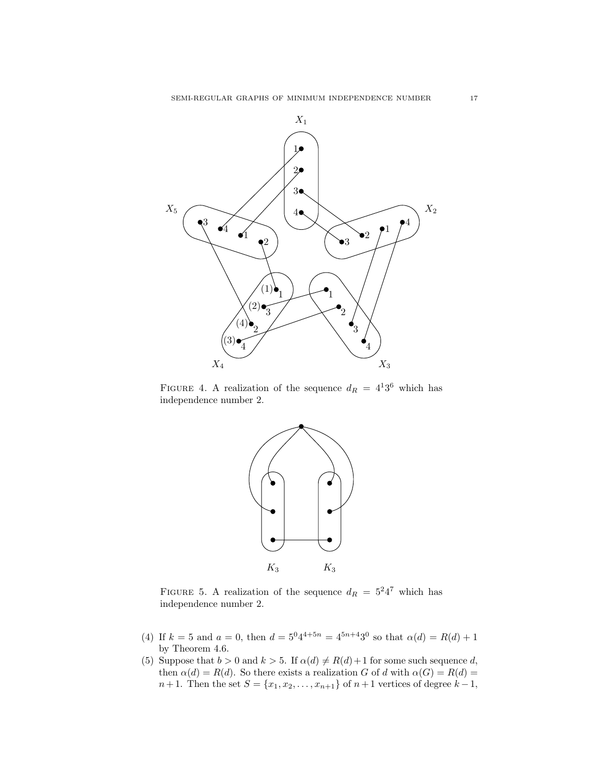

FIGURE 4. A realization of the sequence  $d_R = 4^13^6$  which has independence number 2.



FIGURE 5. A realization of the sequence  $d_R = 5^2 4^7$  which has independence number 2.

- (4) If  $k = 5$  and  $a = 0$ , then  $d = 5^0 4^{4+5n} = 4^{5n+4} 3^0$  so that  $\alpha(d) = R(d) + 1$ by Theorem 4.6.
- (5) Suppose that  $b > 0$  and  $k > 5$ . If  $\alpha(d) \neq R(d) + 1$  for some such sequence d, then  $\alpha(d) = R(d)$ . So there exists a realization G of d with  $\alpha(G) = R(d)$  $n+1$ . Then the set  $S = \{x_1, x_2, \ldots, x_{n+1}\}$  of  $n+1$  vertices of degree  $k-1$ ,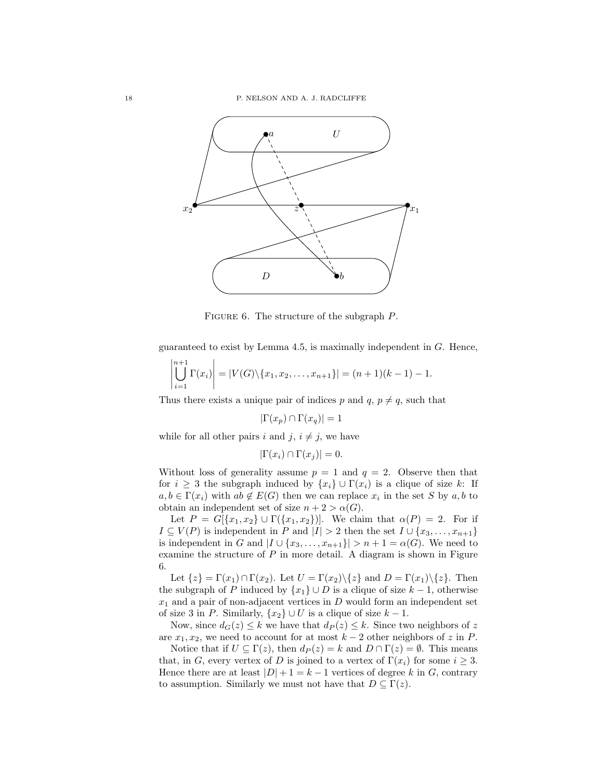

FIGURE 6. The structure of the subgraph P.

guaranteed to exist by Lemma 4.5, is maximally independent in  $G$ . Hence,

$$
\left|\bigcup_{i=1}^{n+1} \Gamma(x_i)\right| = |V(G)\setminus\{x_1, x_2, \dots, x_{n+1}\}| = (n+1)(k-1) - 1.
$$

Thus there exists a unique pair of indices p and  $q, p \neq q$ , such that

 $|\Gamma(x_n) \cap \Gamma(x_q)| = 1$ 

while for all other pairs i and j,  $i \neq j$ , we have

$$
|\Gamma(x_i) \cap \Gamma(x_j)| = 0.
$$

Without loss of generality assume  $p = 1$  and  $q = 2$ . Observe then that for  $i \geq 3$  the subgraph induced by  $\{x_i\} \cup \Gamma(x_i)$  is a clique of size k: If  $a, b \in \Gamma(x_i)$  with  $ab \notin E(G)$  then we can replace  $x_i$  in the set S by  $a, b$  to obtain an independent set of size  $n + 2 > \alpha(G)$ .

Let  $P = G[{x_1,x_2} \cup \Gamma({x_1,x_2})].$  We claim that  $\alpha(P) = 2$ . For if  $I \subseteq V(P)$  is independent in P and  $|I| > 2$  then the set  $I \cup \{x_3, \ldots, x_{n+1}\}\$ is independent in G and  $|I \cup \{x_3, \ldots, x_{n+1}\}| > n+1 = \alpha(G)$ . We need to examine the structure of  $P$  in more detail. A diagram is shown in Figure 6.

Let  $\{z\} = \Gamma(x_1) \cap \Gamma(x_2)$ . Let  $U = \Gamma(x_2) \setminus \{z\}$  and  $D = \Gamma(x_1) \setminus \{z\}$ . Then the subgraph of P induced by  $\{x_1\} \cup D$  is a clique of size  $k-1$ , otherwise  $x_1$  and a pair of non-adjacent vertices in  $D$  would form an independent set of size 3 in P. Similarly,  $\{x_2\} \cup U$  is a clique of size  $k - 1$ .

Now, since  $d_G(z) \leq k$  we have that  $d_P(z) \leq k$ . Since two neighbors of z are  $x_1, x_2$ , we need to account for at most  $k-2$  other neighbors of z in P.

Notice that if  $U \subseteq \Gamma(z)$ , then  $d_P(z) = k$  and  $D \cap \Gamma(z) = \emptyset$ . This means that, in G, every vertex of D is joined to a vertex of  $\Gamma(x_i)$  for some  $i \geq 3$ . Hence there are at least  $|D|+1 = k-1$  vertices of degree k in G, contrary to assumption. Similarly we must not have that  $D \subseteq \Gamma(z)$ .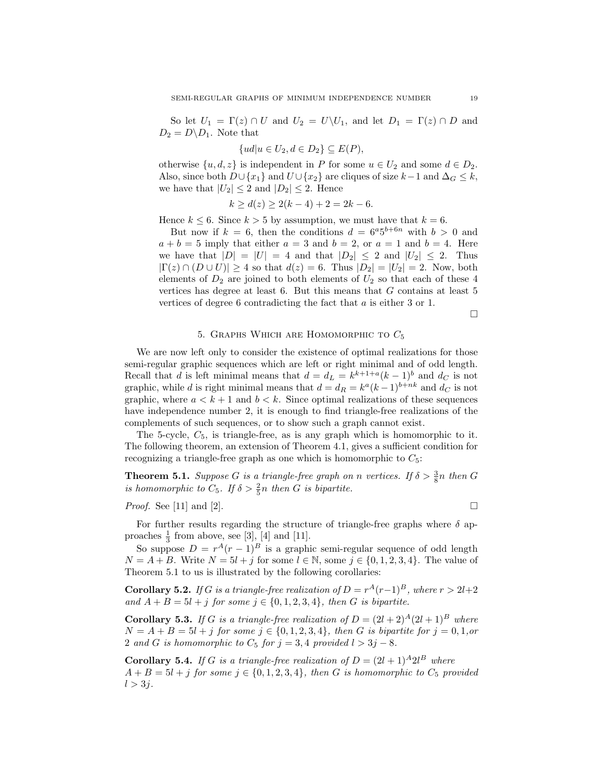So let  $U_1 = \Gamma(z) \cap U$  and  $U_2 = U \setminus U_1$ , and let  $D_1 = \Gamma(z) \cap D$  and  $D_2 = D \backslash D_1$ . Note that

$$
\{ud|u \in U_2, d \in D_2\} \subseteq E(P),
$$

otherwise  $\{u, d, z\}$  is independent in P for some  $u \in U_2$  and some  $d \in D_2$ . Also, since both  $D \cup \{x_1\}$  and  $U \cup \{x_2\}$  are cliques of size  $k-1$  and  $\Delta_G \leq k$ , we have that  $|U_2| \leq 2$  and  $|D_2| \leq 2$ . Hence

 $k \geq d(z) \geq 2(k-4) + 2 = 2k - 6.$ 

Hence  $k \leq 6$ . Since  $k > 5$  by assumption, we must have that  $k = 6$ .

But now if  $k = 6$ , then the conditions  $d = 6^a 5^{b+6n}$  with  $b > 0$  and  $a + b = 5$  imply that either  $a = 3$  and  $b = 2$ , or  $a = 1$  and  $b = 4$ . Here we have that  $|D| = |U| = 4$  and that  $|D_2| \leq 2$  and  $|U_2| \leq 2$ . Thus  $|\Gamma(z) \cap (D \cup U)| \geq 4$  so that  $d(z) = 6$ . Thus  $|D_2| = |U_2| = 2$ . Now, both elements of  $D_2$  are joined to both elements of  $U_2$  so that each of these 4 vertices has degree at least 6. But this means that G contains at least 5 vertices of degree 6 contradicting the fact that a is either 3 or 1.

 $\Box$ 

# 5. GRAPHS WHICH ARE HOMOMORPHIC TO  $C_5$

We are now left only to consider the existence of optimal realizations for those semi-regular graphic sequences which are left or right minimal and of odd length. Recall that d is left minimal means that  $d = d_L = k^{k+1+a}(k-1)^b$  and  $d_C$  is not graphic, while d is right minimal means that  $d = d_R = k^a (k-1)^{b+nk}$  and  $d_C$  is not graphic, where  $a < k + 1$  and  $b < k$ . Since optimal realizations of these sequences have independence number 2, it is enough to find triangle-free realizations of the complements of such sequences, or to show such a graph cannot exist.

The 5-cycle,  $C_5$ , is triangle-free, as is any graph which is homomorphic to it. The following theorem, an extension of Theorem 4.1, gives a sufficient condition for recognizing a triangle-free graph as one which is homomorphic to  $C_5$ :

**Theorem 5.1.** Suppose G is a triangle-free graph on n vertices. If  $\delta > \frac{3}{8}n$  then G is homomorphic to  $C_5$ . If  $\delta > \frac{2}{5}n$  then G is bipartite.

*Proof.* See [11] and [2].

For further results regarding the structure of triangle-free graphs where  $\delta$  approaches  $\frac{1}{3}$  from above, see [3], [4] and [11].

So suppose  $D = r^{A}(r-1)^{B}$  is a graphic semi-regular sequence of odd length  $N = A + B$ . Write  $N = 5l + j$  for some  $l \in \mathbb{N}$ , some  $j \in \{0, 1, 2, 3, 4\}$ . The value of Theorem 5.1 to us is illustrated by the following corollaries:

**Corollary 5.2.** If G is a triangle-free realization of  $D = r^A(r-1)^B$ , where  $r > 2l+2$ and  $A + B = 5l + j$  for some  $j \in \{0, 1, 2, 3, 4\}$ , then G is bipartite.

**Corollary 5.3.** If G is a triangle-free realization of  $D = (2l+2)^{A}(2l+1)^{B}$  where  $N = A + B = 5l + j$  for some  $j \in \{0, 1, 2, 3, 4\}$ , then G is bipartite for  $j = 0, 1, or$ 2 and G is homomorphic to  $C_5$  for  $j = 3, 4$  provided  $l > 3j - 8$ .

**Corollary 5.4.** If G is a triangle-free realization of  $D = (2l+1)^A 2l^B$  where  $A + B = 5l + j$  for some  $j \in \{0, 1, 2, 3, 4\}$ , then G is homomorphic to  $C_5$  provided  $l > 3j$ .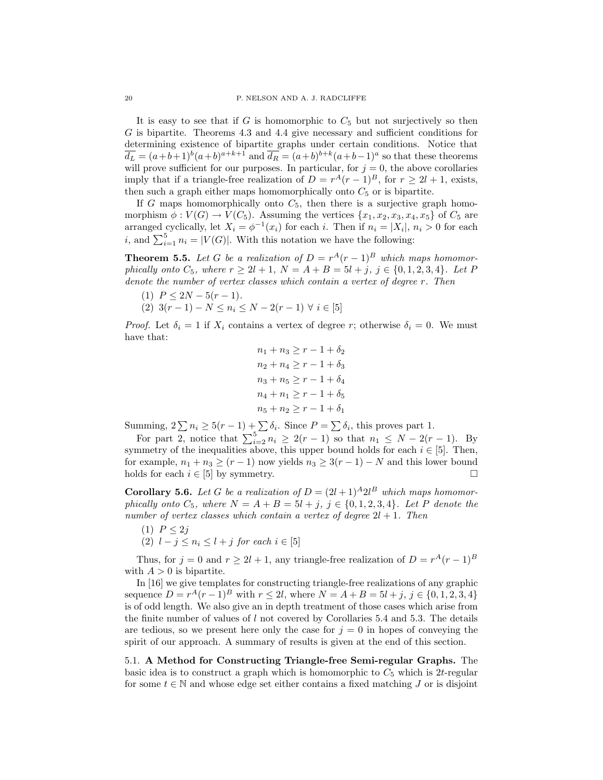It is easy to see that if G is homomorphic to  $C_5$  but not surjectively so then G is bipartite. Theorems 4.3 and 4.4 give necessary and sufficient conditions for determining existence of bipartite graphs under certain conditions. Notice that  $\overline{d_L} = (a+b+1)^b (a+b)^{a+k+1}$  and  $\overline{d_R} = (a+b)^{b+k} (a+b-1)^a$  so that these theorems will prove sufficient for our purposes. In particular, for  $j = 0$ , the above corollaries imply that if a triangle-free realization of  $D = r^{A}(r-1)^{B}$ , for  $r \ge 2l + 1$ , exists, then such a graph either maps homomorphically onto  $C<sub>5</sub>$  or is bipartite.

If G maps homomorphically onto  $C_5$ , then there is a surjective graph homomorphism  $\phi: V(G) \to V(C_5)$ . Assuming the vertices  $\{x_1, x_2, x_3, x_4, x_5\}$  of  $C_5$  are arranged cyclically, let  $X_i = \phi^{-1}(x_i)$  for each i. Then if  $n_i = |X_i|, n_i > 0$  for each *i*, and  $\sum_{i=1}^{5} n_i = |V(G)|$ . With this notation we have the following:

**Theorem 5.5.** Let G be a realization of  $D = r^A(r-1)^B$  which maps homomorphically onto  $C_5$ , where  $r \geq 2l + 1$ ,  $N = A + B = 5l + j$ ,  $j \in \{0, 1, 2, 3, 4\}$ . Let P denote the number of vertex classes which contain a vertex of degree r. Then

- (1)  $P \leq 2N 5(r 1)$ .
- (2)  $3(r-1) N \leq n_i \leq N 2(r-1) \ \forall \ i \in [5]$

*Proof.* Let  $\delta_i = 1$  if  $X_i$  contains a vertex of degree r; otherwise  $\delta_i = 0$ . We must have that:

$$
n_1 + n_3 \ge r - 1 + \delta_2
$$
  
\n
$$
n_2 + n_4 \ge r - 1 + \delta_3
$$
  
\n
$$
n_3 + n_5 \ge r - 1 + \delta_4
$$
  
\n
$$
n_4 + n_1 \ge r - 1 + \delta_5
$$
  
\n
$$
n_5 + n_2 \ge r - 1 + \delta_1
$$

Summing,  $2\sum n_i \ge 5(r-1) + \sum \delta_i$ . Since  $P = \sum \delta_i$ , this proves part 1.

For part 2, notice that  $\sum_{i=2}^{5} n_i \geq 2(r-1)$  so that  $n_1 \leq N-2(r-1)$ . By symmetry of the inequalities above, this upper bound holds for each  $i \in [5]$ . Then, for example,  $n_1 + n_3 \ge (r - 1)$  now yields  $n_3 \ge 3(r - 1) - N$  and this lower bound holds for each  $i \in [5]$  by symmetry.

**Corollary 5.6.** Let G be a realization of  $D = (2l+1)^A 2l^B$  which maps homomorphically onto  $C_5$ , where  $N = A + B = 5l + j$ ,  $j \in \{0, 1, 2, 3, 4\}$ . Let P denote the number of vertex classes which contain a vertex of degree  $2l + 1$ . Then

(1)  $P \leq 2j$ (2)  $l - j \leq n_i \leq l + j$  for each  $i \in [5]$ 

Thus, for  $j = 0$  and  $r \ge 2l + 1$ , any triangle-free realization of  $D = r^{A}(r-1)^{B}$ with  $A > 0$  is bipartite.

In [16] we give templates for constructing triangle-free realizations of any graphic sequence  $D = r^{A}(r-1)^{B}$  with  $r \leq 2l$ , where  $N = A + B = 5l + j$ ,  $j \in \{0, 1, 2, 3, 4\}$ is of odd length. We also give an in depth treatment of those cases which arise from the finite number of values of  $l$  not covered by Corollaries 5.4 and 5.3. The details are tedious, so we present here only the case for  $j = 0$  in hopes of conveying the spirit of our approach. A summary of results is given at the end of this section.

5.1. A Method for Constructing Triangle-free Semi-regular Graphs. The basic idea is to construct a graph which is homomorphic to  $C_5$  which is 2t-regular for some  $t \in \mathbb{N}$  and whose edge set either contains a fixed matching J or is disjoint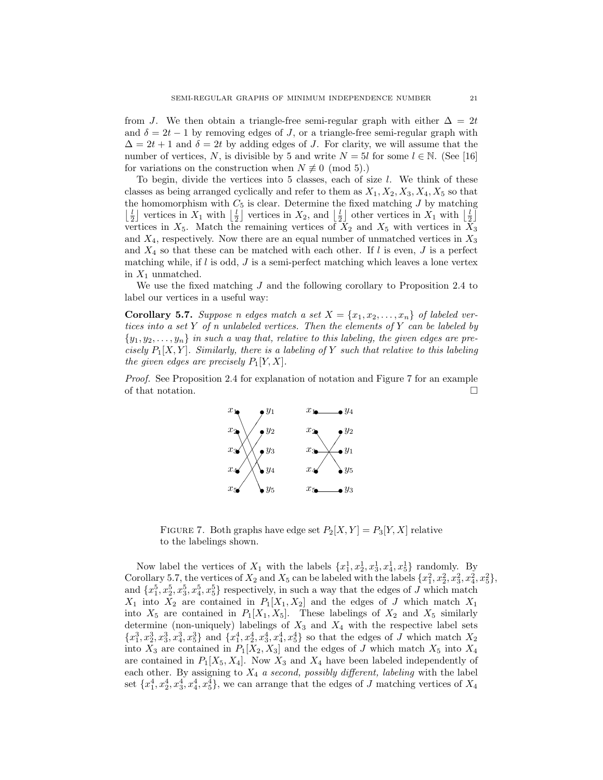from J. We then obtain a triangle-free semi-regular graph with either  $\Delta = 2t$ and  $\delta = 2t - 1$  by removing edges of J, or a triangle-free semi-regular graph with  $\Delta = 2t + 1$  and  $\delta = 2t$  by adding edges of J. For clarity, we will assume that the number of vertices, N, is divisible by 5 and write  $N = 5l$  for some  $l \in \mathbb{N}$ . (See [16] for variations on the construction when  $N \not\equiv 0 \pmod{5}$ .

To begin, divide the vertices into 5 classes, each of size l. We think of these classes as being arranged cyclically and refer to them as  $X_1, X_2, X_3, X_4, X_5$  so that the homomorphism with  $C_5$  is clear. Determine the fixed matching  $J$  by matching  $\lfloor \frac{l}{2} \rfloor$  vertices in  $X_1$  with  $\lfloor \frac{l}{2} \rfloor$  vertices in  $X_2$ , and  $\lfloor \frac{l}{2} \rfloor$  other vertices in  $X_1$  with  $\lfloor \frac{l}{2} \rfloor$ vertices in  $X_5$ . Match the remaining vertices of  $X_2$  and  $X_5$  with vertices in  $X_3$ and  $X_4$ , respectively. Now there are an equal number of unmatched vertices in  $X_3$ and  $X_4$  so that these can be matched with each other. If  $l$  is even,  $J$  is a perfect matching while, if  $l$  is odd,  $J$  is a semi-perfect matching which leaves a lone vertex in  $X_1$  unmatched.

We use the fixed matching  $J$  and the following corollary to Proposition 2.4 to label our vertices in a useful way:

**Corollary 5.7.** Suppose n edges match a set  $X = \{x_1, x_2, \ldots, x_n\}$  of labeled vertices into a set Y of n unlabeled vertices. Then the elements of Y can be labeled by  ${y_1, y_2, \ldots, y_n}$  in such a way that, relative to this labeling, the given edges are precisely  $P_1[X, Y]$ . Similarly, there is a labeling of Y such that relative to this labeling the given edges are precisely  $P_1[Y, X]$ .

Proof. See Proposition 2.4 for explanation of notation and Figure 7 for an example of that notation.  $\Box$ 



FIGURE 7. Both graphs have edge set  $P_2[X, Y] = P_3[Y, X]$  relative to the labelings shown.

Now label the vertices of  $X_1$  with the labels  $\{x_1^1, x_2^1, x_3^1, x_4^1, x_5^1\}$  randomly. By Corollary 5.7, the vertices of  $X_2$  and  $X_5$  can be labeled with the labels  $\{x_1^2, x_2^2, x_3^2, x_4^2, x_5^2\}$ , and  $\{x_1^5, x_2^5, x_3^5, x_4^5, x_5^5\}$  respectively, in such a way that the edges of J which match  $X_1$  into  $X_2$  are contained in  $P_1[X_1, X_2]$  and the edges of J which match  $X_1$ into  $X_5$  are contained in  $P_1[X_1, X_5]$ . These labelings of  $X_2$  and  $X_5$  similarly determine (non-uniquely) labelings of  $X_3$  and  $X_4$  with the respective label sets  ${x_1^3, x_2^3, x_3^3, x_4^3, x_5^3}$  and  ${x_1^4, x_2^4, x_3^4, x_4^4, x_5^4}$  so that the edges of J which match  $X_2$ into  $X_3$  are contained in  $P_1[X_2, X_3]$  and the edges of J which match  $X_5$  into  $X_4$ are contained in  $P_1[X_5, X_4]$ . Now  $X_3$  and  $X_4$  have been labeled independently of each other. By assigning to  $X_4$  a second, possibly different, labeling with the label set  $\{x_1^4, x_2^4, x_3^4, x_4^4, x_5^4\}$ , we can arrange that the edges of J matching vertices of  $X_4$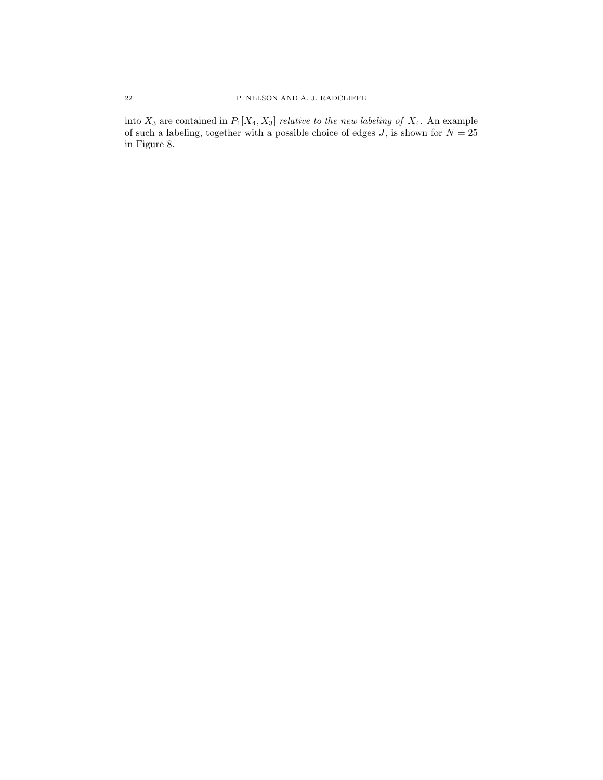into  $X_3$  are contained in  $P_1[X_4, X_3]$  relative to the new labeling of  $X_4$ . An example of such a labeling, together with a possible choice of edges  $J$ , is shown for  $N = 25$ in Figure 8.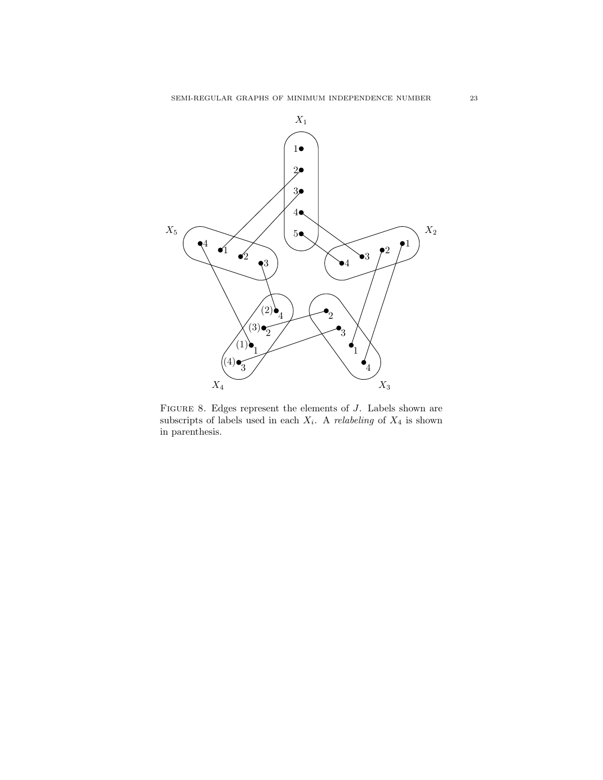

FIGURE 8. Edges represent the elements of J. Labels shown are subscripts of labels used in each  $X_i$ . A *relabeling* of  $X_4$  is shown in parenthesis.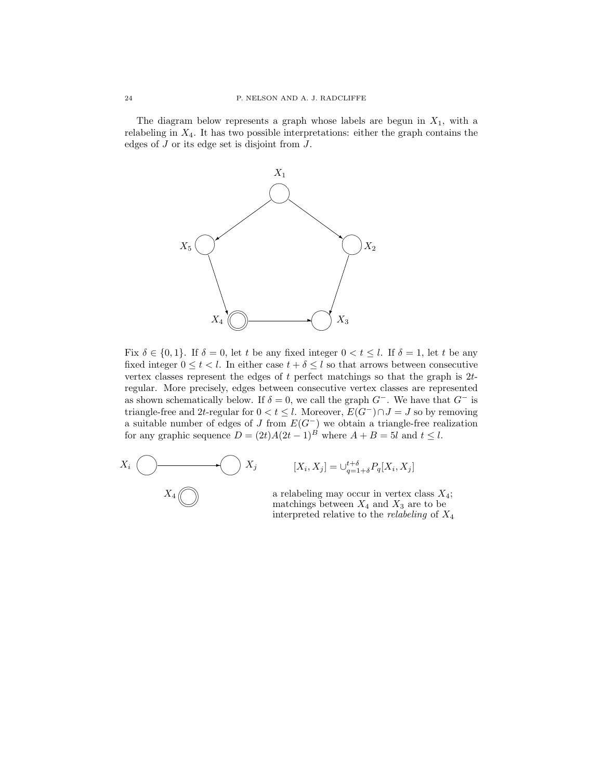The diagram below represents a graph whose labels are begun in  $X_1$ , with a relabeling in  $X_4$ . It has two possible interpretations: either the graph contains the edges of J or its edge set is disjoint from J.



Fix  $\delta \in \{0,1\}$ . If  $\delta = 0$ , let t be any fixed integer  $0 < t \leq l$ . If  $\delta = 1$ , let t be any fixed integer  $0 \le t < l$ . In either case  $t + \delta \le l$  so that arrows between consecutive vertex classes represent the edges of t perfect matchings so that the graph is  $2t$ regular. More precisely, edges between consecutive vertex classes are represented as shown schematically below. If  $\delta = 0$ , we call the graph  $G^-$ . We have that  $G^-$  is triangle-free and 2t-regular for  $0 < t \leq l$ . Moreover,  $E(G^-) \cap J = J$  so by removing a suitable number of edges of J from  $E(G<sup>-</sup>)$  we obtain a triangle-free realization for any graphic sequence  $D = (2t)A(2t-1)^B$  where  $A + B = 5l$  and  $t \leq l$ .

$$
X_i \qquad X_j \qquad [X_i, X_j] = \bigcup_{q=1+\delta}^{t+\delta} P_q[X_i, X_j]
$$

✒✑

 $X_4$ 

a relabeling may occur in vertex class  $X_4$ ; matchings between  $X_4$  and  $X_3$  are to be interpreted relative to the *relabeling* of  $X_4$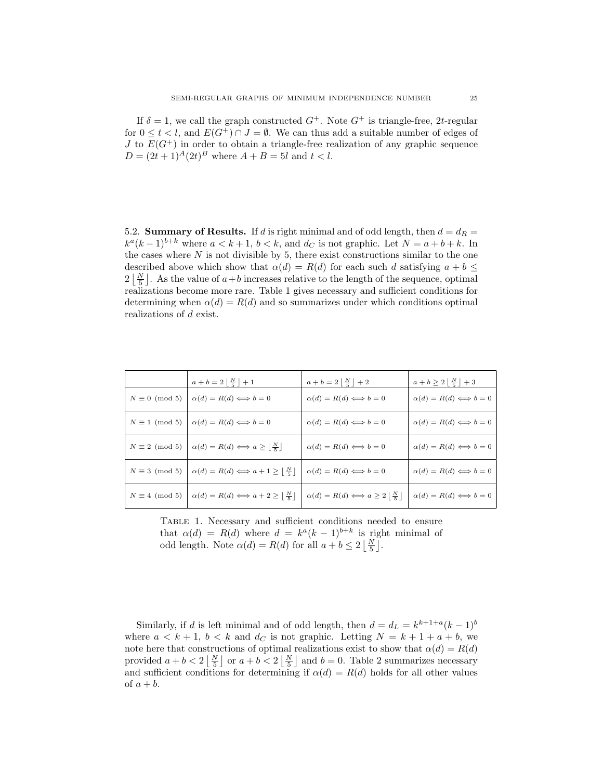If  $\delta = 1$ , we call the graph constructed  $G^+$ . Note  $G^+$  is triangle-free, 2t-regular for  $0 \leq t < l$ , and  $E(G^+) \cap J = \emptyset$ . We can thus add a suitable number of edges of J to  $E(G^+)$  in order to obtain a triangle-free realization of any graphic sequence  $D = (2t+1)^{A}(2t)^{B}$  where  $A + B = 5l$  and  $t < l$ .

5.2. Summary of Results. If d is right minimal and of odd length, then  $d = d_R$  =  $k^a(k-1)^{b+k}$  where  $a < k+1$ ,  $b < k$ , and  $d<sub>C</sub>$  is not graphic. Let  $N = a + b + k$ . In the cases where  $N$  is not divisible by 5, there exist constructions similar to the one described above which show that  $\alpha(d) = R(d)$  for each such d satisfying  $a + b \leq$  $2\left\lfloor \frac{N}{5} \right\rfloor$ . As the value of  $a+b$  increases relative to the length of the sequence, optimal realizations become more rare. Table 1 gives necessary and sufficient conditions for determining when  $\alpha(d) = R(d)$  and so summarizes under which conditions optimal realizations of d exist.

|                       | $a + b = 2 \left  \frac{N}{5} \right  + 1$                                                                     | $a + b = 2 \left  \frac{N}{5} \right  + 2$                                             | $a+b\geq 2\left\lfloor \frac{N}{5}\right\rfloor+3$ |
|-----------------------|----------------------------------------------------------------------------------------------------------------|----------------------------------------------------------------------------------------|----------------------------------------------------|
| $N \equiv 0 \pmod{5}$ | $\alpha(d) = R(d) \Longleftrightarrow b = 0$                                                                   | $\alpha(d) = R(d) \Longleftrightarrow b = 0$                                           | $\alpha(d) = R(d) \Longleftrightarrow b = 0$       |
| $N \equiv 1 \pmod{5}$ | $\alpha(d) = R(d) \Longleftrightarrow b = 0$                                                                   | $\alpha(d) = R(d) \Longleftrightarrow b = 0$                                           | $\alpha(d) = R(d) \Longleftrightarrow b = 0$       |
| $N \equiv 2 \pmod{5}$ | $\alpha(d) = R(d) \Longleftrightarrow a \geq \lfloor \frac{N}{5} \rfloor$                                      | $\alpha(d) = R(d) \Longleftrightarrow b = 0$                                           | $\alpha(d) = R(d) \Longleftrightarrow b = 0$       |
| $N \equiv 3 \pmod{5}$ | $\alpha(d) = R(d) \Longleftrightarrow a + 1 \geq \lfloor \frac{N}{5} \rfloor$                                  | $\alpha(d) = R(d) \Longleftrightarrow b = 0$                                           | $\alpha(d) = R(d) \Longleftrightarrow b = 0$       |
|                       | $N \equiv 4 \pmod{5}$ $\alpha(d) = R(d) \Longleftrightarrow a + 2 \geq \left\lfloor \frac{N}{5} \right\rfloor$ | $\alpha(d) = R(d) \Longleftrightarrow a \geq 2 \left\lfloor \frac{N}{5} \right\rfloor$ | $\alpha(d) = R(d) \Longleftrightarrow b = 0$       |

Table 1. Necessary and sufficient conditions needed to ensure that  $\alpha(d) = R(d)$  where  $d = k^a (k-1)^{b+k}$  is right minimal of odd length. Note  $\alpha(d) = R(d)$  for all  $a + b \leq 2 \lfloor \frac{N}{5} \rfloor$ .

Similarly, if d is left minimal and of odd length, then  $d = d_L = k^{k+1+a}(k-1)^b$ where  $a < k + 1$ ,  $b < k$  and  $d<sub>C</sub>$  is not graphic. Letting  $N = k + 1 + a + b$ , we note here that constructions of optimal realizations exist to show that  $\alpha(d) = R(d)$ provided  $a + b < 2 \left\lfloor \frac{N}{5} \right\rfloor$  or  $a + b < 2 \left\lfloor \frac{N}{5} \right\rfloor$  and  $b = 0$ . Table 2 summarizes necessary and sufficient conditions for determining if  $\alpha(d) = R(d)$  holds for all other values of  $a + b$ .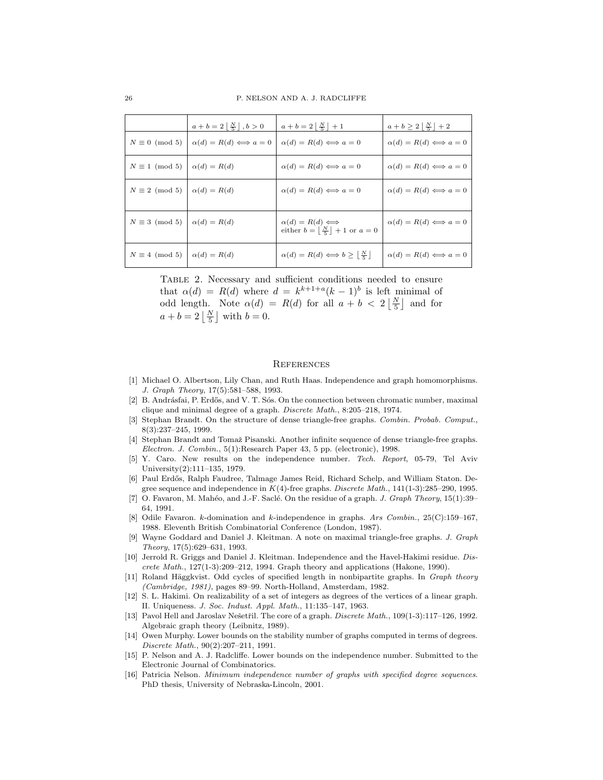|                                             | $a + b = 2 \left  \frac{N}{5} \right $ , $b > 0$ | $a + b = 2 \left  \frac{N}{5} \right  + 1$                                          | $a+b\geq 2\left\lfloor \frac{N}{5} \right\rfloor+2$ |
|---------------------------------------------|--------------------------------------------------|-------------------------------------------------------------------------------------|-----------------------------------------------------|
| $N \equiv 0 \pmod{5}$                       | $\alpha(d) = R(d) \Longleftrightarrow a = 0$     | $\alpha(d) = R(d) \Longleftrightarrow a = 0$                                        | $\alpha(d) = R(d) \Longleftrightarrow a = 0$        |
| $N \equiv 1 \pmod{5} \mid \alpha(d) = R(d)$ |                                                  | $\alpha(d) = R(d) \Longleftrightarrow a = 0$                                        | $\alpha(d) = R(d) \Longleftrightarrow a = 0$        |
| $N \equiv 2 \pmod{5} \mid \alpha(d) = R(d)$ |                                                  | $\alpha(d) = R(d) \Longleftrightarrow a = 0$                                        | $\alpha(d) = R(d) \Longleftrightarrow a = 0$        |
| $N \equiv 3 \pmod{5} \mid \alpha(d) = R(d)$ |                                                  | $\alpha(d) = R(d) \Longleftrightarrow$<br>either $b =  \frac{N}{5}  + 1$ or $a = 0$ | $\alpha(d) = R(d) \Longleftrightarrow a = 0$        |
| $N \equiv 4 \pmod{5} \mid \alpha(d) = R(d)$ |                                                  | $\alpha(d) = R(d) \Longleftrightarrow b \geq \lceil \frac{N}{5} \rceil$             | $\alpha(d) = R(d) \Longleftrightarrow a = 0$        |

Table 2. Necessary and sufficient conditions needed to ensure that  $\alpha(d) = R(d)$  where  $d = k^{k+1+a}(k-1)^b$  is left minimal of odd length. Note  $\alpha(d) = R(d)$  for all  $a + b < 2\lfloor \frac{N}{5} \rfloor$  and for  $a + b = 2\left\lfloor \frac{N}{5} \right\rfloor$  with  $b = 0$ .

# **REFERENCES**

- [1] Michael O. Albertson, Lily Chan, and Ruth Haas. Independence and graph homomorphisms. J. Graph Theory, 17(5):581–588, 1993.
- [2] B. Andrásfai, P. Erdős, and V. T. Sós. On the connection between chromatic number, maximal clique and minimal degree of a graph. Discrete Math., 8:205–218, 1974.
- [3] Stephan Brandt. On the structure of dense triangle-free graphs. Combin. Probab. Comput., 8(3):237–245, 1999.
- [4] Stephan Brandt and Tomaž Pisanski. Another infinite sequence of dense triangle-free graphs. Electron. J. Combin., 5(1):Research Paper 43, 5 pp. (electronic), 1998.
- [5] Y. Caro. New results on the independence number. Tech. Report, 05-79, Tel Aviv University(2):111–135, 1979.
- [6] Paul Erdős, Ralph Faudree, Talmage James Reid, Richard Schelp, and William Staton. Degree sequence and independence in  $K(4)$ -free graphs. Discrete Math., 141(1-3):285–290, 1995.
- [7] O. Favaron, M. Mahéo, and J.-F. Saclé. On the residue of a graph. J. Graph Theory, 15(1):39– 64, 1991.
- [8] Odile Favaron. k-domination and k-independence in graphs. Ars Combin., 25(C):159–167, 1988. Eleventh British Combinatorial Conference (London, 1987).
- [9] Wayne Goddard and Daniel J. Kleitman. A note on maximal triangle-free graphs. J. Graph Theory, 17(5):629–631, 1993.
- [10] Jerrold R. Griggs and Daniel J. Kleitman. Independence and the Havel-Hakimi residue. Discrete Math.,  $127(1-3):209-212$ , 1994. Graph theory and applications (Hakone, 1990).
- [11] Roland Häggkvist. Odd cycles of specified length in nonbipartite graphs. In Graph theory  $(Cambridge, 1981)$ , pages 89–99. North-Holland, Amsterdam, 1982.
- [12] S. L. Hakimi. On realizability of a set of integers as degrees of the vertices of a linear graph. II. Uniqueness. J. Soc. Indust. Appl. Math., 11:135–147, 1963.
- [13] Pavol Hell and Jaroslav Nešetřil. The core of a graph. *Discrete Math.*,  $109(1-3):117-126$ , 1992. Algebraic graph theory (Leibnitz, 1989).
- [14] Owen Murphy. Lower bounds on the stability number of graphs computed in terms of degrees. Discrete Math., 90(2):207–211, 1991.
- [15] P. Nelson and A. J. Radcliffe. Lower bounds on the independence number. Submitted to the Electronic Journal of Combinatorics.
- [16] Patricia Nelson. Minimum independence number of graphs with specified degree sequences. PhD thesis, University of Nebraska-Lincoln, 2001.